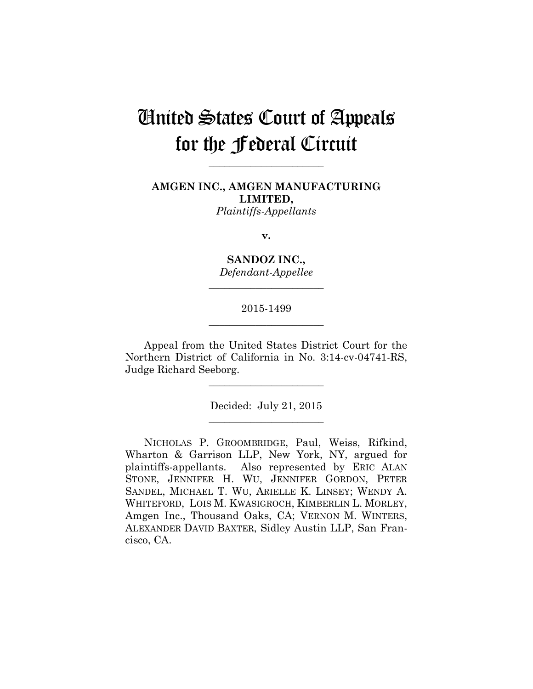# United States Court of Appeals for the Federal Circuit

**AMGEN INC., AMGEN MANUFACTURING LIMITED,** *Plaintiffs-Appellants*

**\_\_\_\_\_\_\_\_\_\_\_\_\_\_\_\_\_\_\_\_\_\_** 

**v.**

**SANDOZ INC.,** *Defendant-Appellee*

**\_\_\_\_\_\_\_\_\_\_\_\_\_\_\_\_\_\_\_\_\_\_** 

## 2015-1499 **\_\_\_\_\_\_\_\_\_\_\_\_\_\_\_\_\_\_\_\_\_\_**

Appeal from the United States District Court for the Northern District of California in No. 3:14-cv-04741-RS, Judge Richard Seeborg.

**\_\_\_\_\_\_\_\_\_\_\_\_\_\_\_\_\_\_\_\_\_\_** 

Decided: July 21, 2015 **\_\_\_\_\_\_\_\_\_\_\_\_\_\_\_\_\_\_\_\_\_\_** 

NICHOLAS P. GROOMBRIDGE, Paul, Weiss, Rifkind, Wharton & Garrison LLP, New York, NY, argued for plaintiffs-appellants. Also represented by ERIC ALAN STONE, JENNIFER H. WU, JENNIFER GORDON, PETER SANDEL, MICHAEL T. WU, ARIELLE K. LINSEY; WENDY A. WHITEFORD, LOIS M. KWASIGROCH, KIMBERLIN L. MORLEY, Amgen Inc., Thousand Oaks, CA; VERNON M. WINTERS, ALEXANDER DAVID BAXTER, Sidley Austin LLP, San Francisco, CA.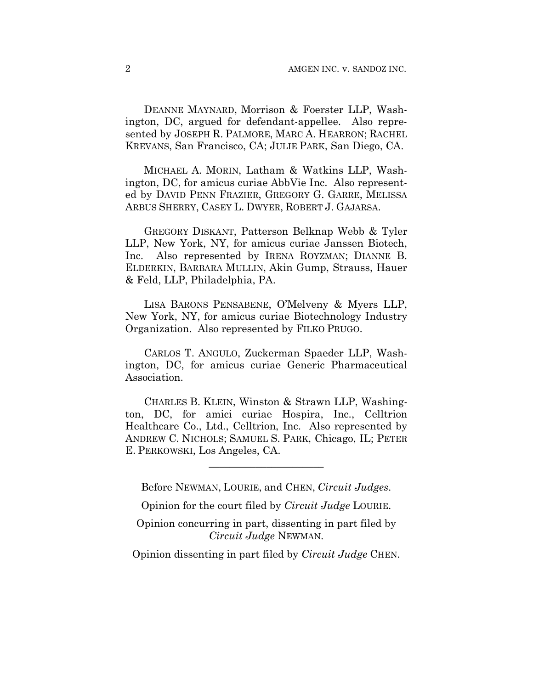DEANNE MAYNARD, Morrison & Foerster LLP, Washington, DC, argued for defendant-appellee. Also represented by JOSEPH R. PALMORE, MARC A. HEARRON; RACHEL KREVANS, San Francisco, CA; JULIE PARK, San Diego, CA.

MICHAEL A. MORIN, Latham & Watkins LLP, Washington, DC, for amicus curiae AbbVie Inc. Also represented by DAVID PENN FRAZIER, GREGORY G. GARRE, MELISSA ARBUS SHERRY, CASEY L. DWYER, ROBERT J. GAJARSA.

GREGORY DISKANT, Patterson Belknap Webb & Tyler LLP, New York, NY, for amicus curiae Janssen Biotech, Inc. Also represented by IRENA ROYZMAN; DIANNE B. ELDERKIN, BARBARA MULLIN, Akin Gump, Strauss, Hauer & Feld, LLP, Philadelphia, PA.

LISA BARONS PENSABENE, O'Melveny & Myers LLP, New York, NY, for amicus curiae Biotechnology Industry Organization. Also represented by FILKO PRUGO.

CARLOS T. ANGULO, Zuckerman Spaeder LLP, Washington, DC, for amicus curiae Generic Pharmaceutical Association.

CHARLES B. KLEIN, Winston & Strawn LLP, Washington, DC, for amici curiae Hospira, Inc., Celltrion Healthcare Co., Ltd., Celltrion, Inc. Also represented by ANDREW C. NICHOLS; SAMUEL S. PARK, Chicago, IL; PETER E. PERKOWSKI, Los Angeles, CA.

Before NEWMAN, LOURIE, and CHEN, *Circuit Judges*.

**\_\_\_\_\_\_\_\_\_\_\_\_\_\_\_\_\_\_\_\_\_\_** 

Opinion for the court filed by *Circuit Judge* LOURIE.

Opinion concurring in part, dissenting in part filed by *Circuit Judge* NEWMAN.

Opinion dissenting in part filed by *Circuit Judge* CHEN.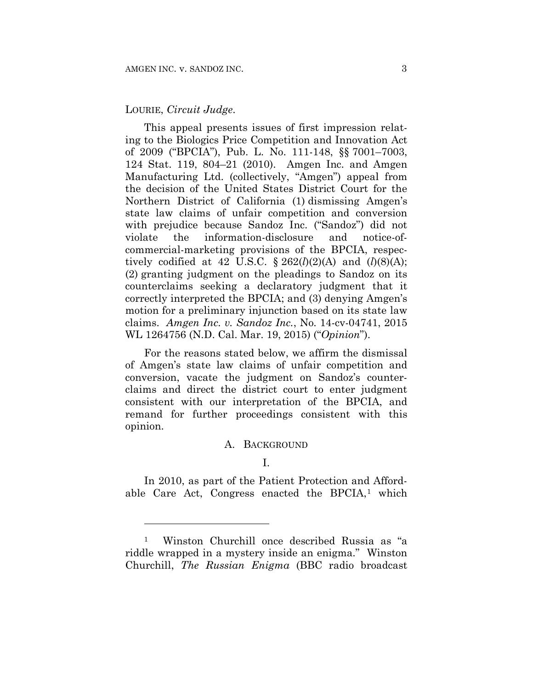#### LOURIE, *Circuit Judge*.

1

This appeal presents issues of first impression relating to the Biologics Price Competition and Innovation Act of 2009 ("BPCIA"), Pub. L. No. 111-148, §§ 7001–7003, 124 Stat. 119, 804–21 (2010). Amgen Inc. and Amgen Manufacturing Ltd. (collectively, "Amgen") appeal from the decision of the United States District Court for the Northern District of California (1) dismissing Amgen's state law claims of unfair competition and conversion with prejudice because Sandoz Inc. ("Sandoz") did not violate the information-disclosure and notice-ofcommercial-marketing provisions of the BPCIA, respectively codified at 42 U.S.C.  $\S 262(l)(2)(A)$  and  $(l)(8)(A);$ (2) granting judgment on the pleadings to Sandoz on its counterclaims seeking a declaratory judgment that it correctly interpreted the BPCIA; and (3) denying Amgen's motion for a preliminary injunction based on its state law claims. *Amgen Inc. v. Sandoz Inc.*, No. 14-cv-04741, 2015 WL 1264756 (N.D. Cal. Mar. 19, 2015) ("*Opinion*").

For the reasons stated below, we affirm the dismissal of Amgen's state law claims of unfair competition and conversion, vacate the judgment on Sandoz's counterclaims and direct the district court to enter judgment consistent with our interpretation of the BPCIA, and remand for further proceedings consistent with this opinion.

## A. BACKGROUND

### I.

In 2010, as part of the Patient Protection and Affordable Care Act, Congress enacted the BPCIA,<sup>1</sup> which

<sup>1</sup> Winston Churchill once described Russia as "a riddle wrapped in a mystery inside an enigma." Winston Churchill, *The Russian Enigma* (BBC radio broadcast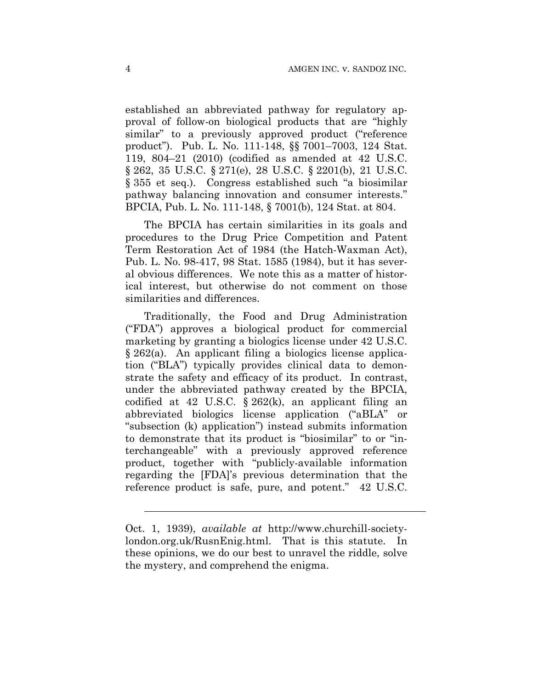established an abbreviated pathway for regulatory approval of follow-on biological products that are "highly similar" to a previously approved product ("reference product"). Pub. L. No. 111-148, §§ 7001–7003, 124 Stat. 119, 804–21 (2010) (codified as amended at 42 U.S.C. § 262, 35 U.S.C. § 271(e), 28 U.S.C. § 2201(b), 21 U.S.C. § 355 et seq.). Congress established such "a biosimilar pathway balancing innovation and consumer interests." BPCIA, Pub. L. No. 111-148, § 7001(b), 124 Stat. at 804.

The BPCIA has certain similarities in its goals and procedures to the Drug Price Competition and Patent Term Restoration Act of 1984 (the Hatch-Waxman Act), Pub. L. No. 98-417, 98 Stat. 1585 (1984), but it has several obvious differences. We note this as a matter of historical interest, but otherwise do not comment on those similarities and differences.

Traditionally, the Food and Drug Administration ("FDA") approves a biological product for commercial marketing by granting a biologics license under 42 U.S.C. § 262(a). An applicant filing a biologics license application ("BLA") typically provides clinical data to demonstrate the safety and efficacy of its product. In contrast, under the abbreviated pathway created by the BPCIA, codified at 42 U.S.C.  $\S 262(k)$ , an applicant filing an abbreviated biologics license application ("aBLA" or "subsection (k) application") instead submits information to demonstrate that its product is "biosimilar" to or "interchangeable" with a previously approved reference product, together with "publicly-available information regarding the [FDA]'s previous determination that the reference product is safe, pure, and potent." 42 U.S.C.

 $\overline{a}$ 

Oct. 1, 1939), *available at* http://www.churchill-societylondon.org.uk/RusnEnig.html. That is this statute. In these opinions, we do our best to unravel the riddle, solve the mystery, and comprehend the enigma.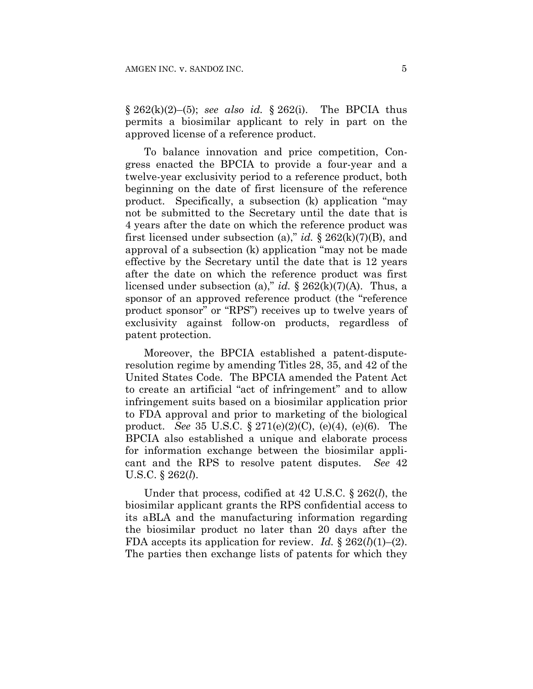$\S 262(k)(2)–(5)$ ; *see also id.*  $\S 262(i)$ . The BPCIA thus permits a biosimilar applicant to rely in part on the approved license of a reference product.

To balance innovation and price competition, Congress enacted the BPCIA to provide a four-year and a twelve-year exclusivity period to a reference product, both beginning on the date of first licensure of the reference product. Specifically, a subsection (k) application "may not be submitted to the Secretary until the date that is 4 years after the date on which the reference product was first licensed under subsection (a)," *id.* § 262(k)(7)(B), and approval of a subsection (k) application "may not be made effective by the Secretary until the date that is 12 years after the date on which the reference product was first licensed under subsection (a)," *id.* § 262(k)(7)(A). Thus, a sponsor of an approved reference product (the "reference product sponsor" or "RPS") receives up to twelve years of exclusivity against follow-on products, regardless of patent protection.

Moreover, the BPCIA established a patent-disputeresolution regime by amending Titles 28, 35, and 42 of the United States Code. The BPCIA amended the Patent Act to create an artificial "act of infringement" and to allow infringement suits based on a biosimilar application prior to FDA approval and prior to marketing of the biological product. *See* 35 U.S.C. § 271(e)(2)(C), (e)(4), (e)(6). The BPCIA also established a unique and elaborate process for information exchange between the biosimilar applicant and the RPS to resolve patent disputes. *See* 42 U.S.C. § 262(*l*).

Under that process, codified at 42 U.S.C. § 262(*l*), the biosimilar applicant grants the RPS confidential access to its aBLA and the manufacturing information regarding the biosimilar product no later than 20 days after the FDA accepts its application for review. *Id.* § 262(*l*)(1)–(2). The parties then exchange lists of patents for which they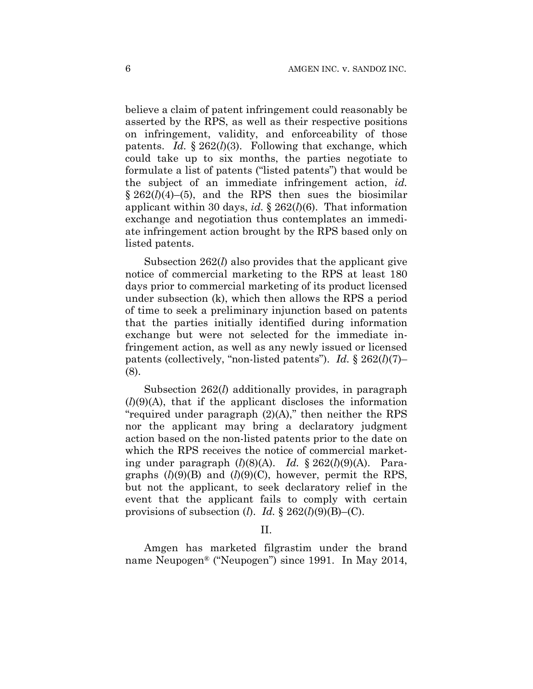believe a claim of patent infringement could reasonably be asserted by the RPS, as well as their respective positions on infringement, validity, and enforceability of those patents. *Id.* § 262(*l*)(3). Following that exchange, which could take up to six months, the parties negotiate to formulate a list of patents ("listed patents") that would be the subject of an immediate infringement action, *id.*   $\S 262(l)(4)–(5)$ , and the RPS then sues the biosimilar applicant within 30 days, *id.* § 262(*l*)(6). That information exchange and negotiation thus contemplates an immediate infringement action brought by the RPS based only on listed patents.

Subsection 262(*l*) also provides that the applicant give notice of commercial marketing to the RPS at least 180 days prior to commercial marketing of its product licensed under subsection (k), which then allows the RPS a period of time to seek a preliminary injunction based on patents that the parties initially identified during information exchange but were not selected for the immediate infringement action, as well as any newly issued or licensed patents (collectively, "non-listed patents"). *Id.* § 262(*l*)(7)– (8).

Subsection 262(*l*) additionally provides, in paragraph  $(l)(9)(A)$ , that if the applicant discloses the information "required under paragraph  $(2)(A)$ ," then neither the RPS nor the applicant may bring a declaratory judgment action based on the non-listed patents prior to the date on which the RPS receives the notice of commercial marketing under paragraph (*l*)(8)(A). *Id.* § 262(*l*)(9)(A). Paragraphs  $(l)(9)(B)$  and  $(l)(9)(C)$ , however, permit the RPS, but not the applicant, to seek declaratory relief in the event that the applicant fails to comply with certain provisions of subsection (*l*). *Id.*  $\S 262(l)(9)(B)$ –(C).

#### II.

Amgen has marketed filgrastim under the brand name Neupogen® ("Neupogen") since 1991. In May 2014,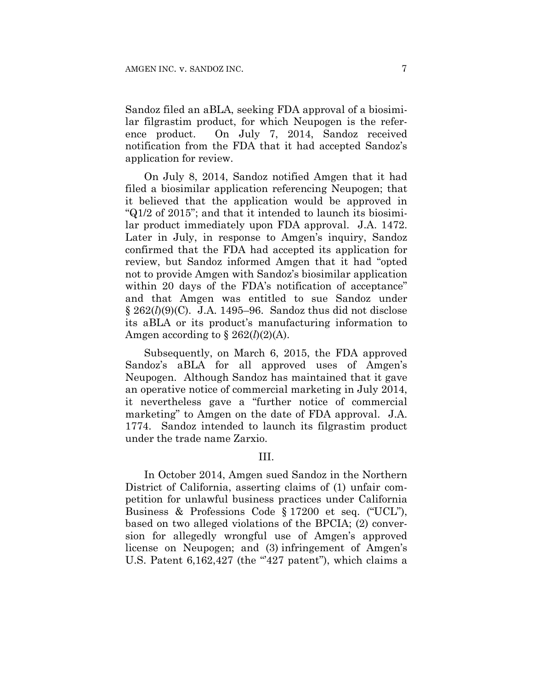Sandoz filed an aBLA, seeking FDA approval of a biosimilar filgrastim product, for which Neupogen is the reference product. On July 7, 2014, Sandoz received notification from the FDA that it had accepted Sandoz's application for review.

On July 8, 2014, Sandoz notified Amgen that it had filed a biosimilar application referencing Neupogen; that it believed that the application would be approved in "Q1/2 of 2015"; and that it intended to launch its biosimilar product immediately upon FDA approval. J.A. 1472. Later in July, in response to Amgen's inquiry, Sandoz confirmed that the FDA had accepted its application for review, but Sandoz informed Amgen that it had "opted not to provide Amgen with Sandoz's biosimilar application within 20 days of the FDA's notification of acceptance" and that Amgen was entitled to sue Sandoz under  $\S 262(l)(9)(C)$ . J.A. 1495–96. Sandoz thus did not disclose its aBLA or its product's manufacturing information to Amgen according to  $\S 262(l)(2)$ (A).

Subsequently, on March 6, 2015, the FDA approved Sandoz's aBLA for all approved uses of Amgen's Neupogen. Although Sandoz has maintained that it gave an operative notice of commercial marketing in July 2014, it nevertheless gave a "further notice of commercial marketing" to Amgen on the date of FDA approval. J.A. 1774. Sandoz intended to launch its filgrastim product under the trade name Zarxio.

## III.

In October 2014, Amgen sued Sandoz in the Northern District of California, asserting claims of (1) unfair competition for unlawful business practices under California Business & Professions Code § 17200 et seq. ("UCL"), based on two alleged violations of the BPCIA; (2) conversion for allegedly wrongful use of Amgen's approved license on Neupogen; and (3) infringement of Amgen's U.S. Patent  $6,162,427$  (the "427 patent"), which claims a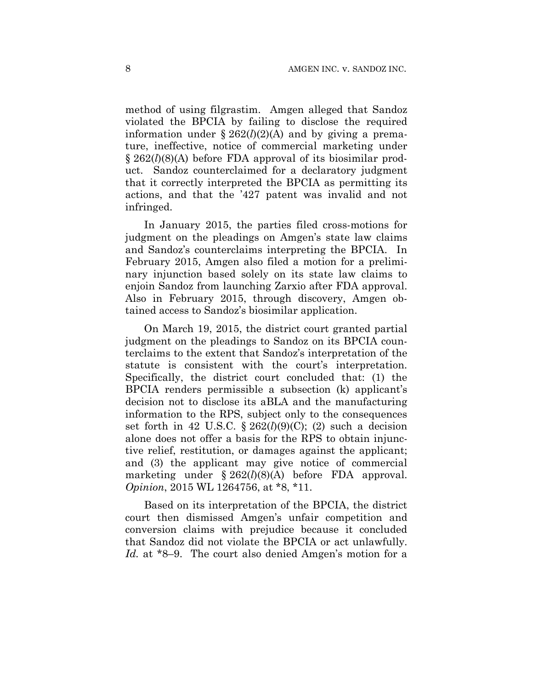method of using filgrastim. Amgen alleged that Sandoz violated the BPCIA by failing to disclose the required information under  $\S 262(l)(2)$ (A) and by giving a premature, ineffective, notice of commercial marketing under § 262(*l*)(8)(A) before FDA approval of its biosimilar product. Sandoz counterclaimed for a declaratory judgment that it correctly interpreted the BPCIA as permitting its actions, and that the '427 patent was invalid and not infringed.

In January 2015, the parties filed cross-motions for judgment on the pleadings on Amgen's state law claims and Sandoz's counterclaims interpreting the BPCIA. In February 2015, Amgen also filed a motion for a preliminary injunction based solely on its state law claims to enjoin Sandoz from launching Zarxio after FDA approval. Also in February 2015, through discovery, Amgen obtained access to Sandoz's biosimilar application.

On March 19, 2015, the district court granted partial judgment on the pleadings to Sandoz on its BPCIA counterclaims to the extent that Sandoz's interpretation of the statute is consistent with the court's interpretation. Specifically, the district court concluded that: (1) the BPCIA renders permissible a subsection (k) applicant's decision not to disclose its aBLA and the manufacturing information to the RPS, subject only to the consequences set forth in 42 U.S.C.  $\S 262(l)(9)(C)$ ; (2) such a decision alone does not offer a basis for the RPS to obtain injunctive relief, restitution, or damages against the applicant; and (3) the applicant may give notice of commercial marketing under § 262(*l*)(8)(A) before FDA approval. *Opinion*, 2015 WL 1264756, at \*8, \*11.

Based on its interpretation of the BPCIA, the district court then dismissed Amgen's unfair competition and conversion claims with prejudice because it concluded that Sandoz did not violate the BPCIA or act unlawfully. *Id.* at \*8–9. The court also denied Amgen's motion for a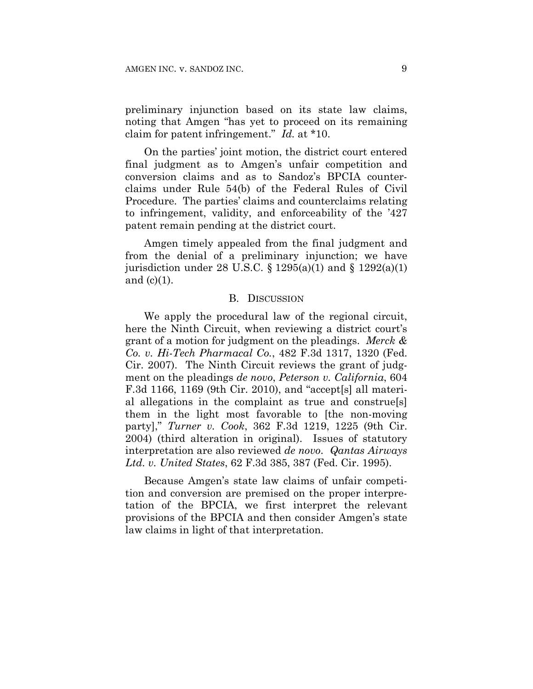preliminary injunction based on its state law claims, noting that Amgen "has yet to proceed on its remaining claim for patent infringement." *Id.* at \*10.

On the parties' joint motion, the district court entered final judgment as to Amgen's unfair competition and conversion claims and as to Sandoz's BPCIA counterclaims under Rule 54(b) of the Federal Rules of Civil Procedure. The parties' claims and counterclaims relating to infringement, validity, and enforceability of the '427 patent remain pending at the district court.

Amgen timely appealed from the final judgment and from the denial of a preliminary injunction; we have jurisdiction under 28 U.S.C.  $\S$  1295(a)(1) and  $\S$  1292(a)(1) and  $(c)(1)$ .

#### B. DISCUSSION

We apply the procedural law of the regional circuit, here the Ninth Circuit, when reviewing a district court's grant of a motion for judgment on the pleadings. *Merck & Co. v. Hi-Tech Pharmacal Co.*, 482 F.3d 1317, 1320 (Fed. Cir. 2007). The Ninth Circuit reviews the grant of judgment on the pleadings *de novo*, *Peterson v. California*, 604 F.3d 1166, 1169 (9th Cir. 2010), and "accept[s] all material allegations in the complaint as true and construe[s] them in the light most favorable to [the non-moving party]," *Turner v. Cook*, 362 F.3d 1219, 1225 (9th Cir. 2004) (third alteration in original). Issues of statutory interpretation are also reviewed *de novo*. *Qantas Airways Ltd. v. United States*, 62 F.3d 385, 387 (Fed. Cir. 1995).

Because Amgen's state law claims of unfair competition and conversion are premised on the proper interpretation of the BPCIA, we first interpret the relevant provisions of the BPCIA and then consider Amgen's state law claims in light of that interpretation.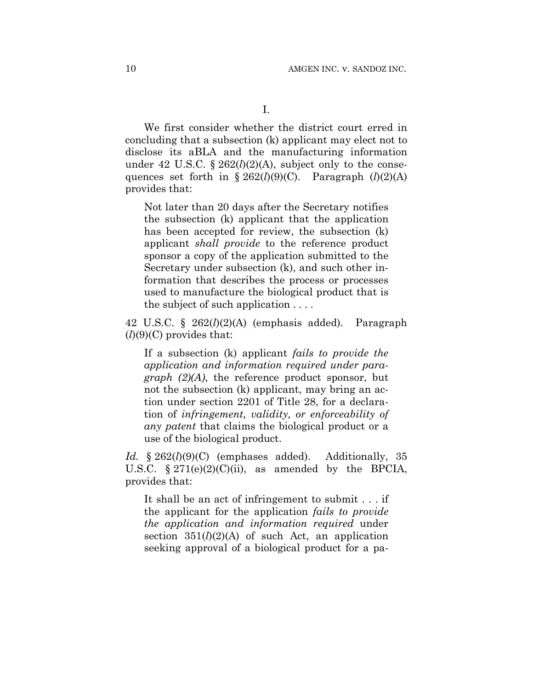We first consider whether the district court erred in concluding that a subsection (k) applicant may elect not to disclose its aBLA and the manufacturing information under 42 U.S.C.  $\S 262(l)(2)(A)$ , subject only to the consequences set forth in  $\S 262(l)(9)(C)$ . Paragraph  $(l)(2)(A)$ provides that:

Not later than 20 days after the Secretary notifies the subsection (k) applicant that the application has been accepted for review, the subsection (k) applicant *shall provide* to the reference product sponsor a copy of the application submitted to the Secretary under subsection (k), and such other information that describes the process or processes used to manufacture the biological product that is the subject of such application . . . .

42 U.S.C. § 262(*l*)(2)(A) (emphasis added). Paragraph  $(l)(9)(C)$  provides that:

If a subsection (k) applicant *fails to provide the application and information required under paragraph (2)(A)*, the reference product sponsor, but not the subsection (k) applicant, may bring an action under section 2201 of Title 28, for a declaration of *infringement, validity, or enforceability of any patent* that claims the biological product or a use of the biological product.

*Id.* § 262(*l*)(9)(C) (emphases added). Additionally, 35 U.S.C.  $\S 271(e)(2)(C)(ii)$ , as amended by the BPCIA, provides that:

It shall be an act of infringement to submit . . . if the applicant for the application *fails to provide the application and information required* under section  $351(l)(2)(A)$  of such Act, an application seeking approval of a biological product for a pa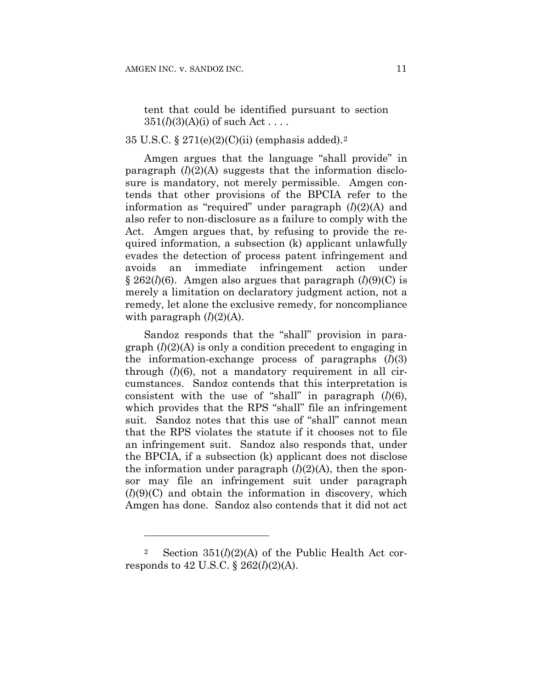tent that could be identified pursuant to section  $351(l)(3)(A)(i)$  of such Act...

## 35 U.S.C. § 271(e)(2)(C)(ii) (emphasis added).2

Amgen argues that the language "shall provide" in paragraph (*l*)(2)(A) suggests that the information disclosure is mandatory, not merely permissible. Amgen contends that other provisions of the BPCIA refer to the information as "required" under paragraph (*l*)(2)(A) and also refer to non-disclosure as a failure to comply with the Act. Amgen argues that, by refusing to provide the required information, a subsection (k) applicant unlawfully evades the detection of process patent infringement and avoids an immediate infringement action under § 262(*l*)(6). Amgen also argues that paragraph (*l*)(9)(C) is merely a limitation on declaratory judgment action, not a remedy, let alone the exclusive remedy, for noncompliance with paragraph  $(l)(2)(A)$ .

Sandoz responds that the "shall" provision in paragraph (*l*)(2)(A) is only a condition precedent to engaging in the information-exchange process of paragraphs (*l*)(3) through (*l*)(6), not a mandatory requirement in all circumstances. Sandoz contends that this interpretation is consistent with the use of "shall" in paragraph (*l*)(6), which provides that the RPS "shall" file an infringement suit. Sandoz notes that this use of "shall" cannot mean that the RPS violates the statute if it chooses not to file an infringement suit. Sandoz also responds that, under the BPCIA, if a subsection (k) applicant does not disclose the information under paragraph  $(l)(2)(A)$ , then the sponsor may file an infringement suit under paragraph (*l*)(9)(C) and obtain the information in discovery, which Amgen has done. Sandoz also contends that it did not act

1

<sup>&</sup>lt;sup>2</sup> Section  $351(l)(2)(A)$  of the Public Health Act corresponds to 42 U.S.C. § 262(*l*)(2)(A).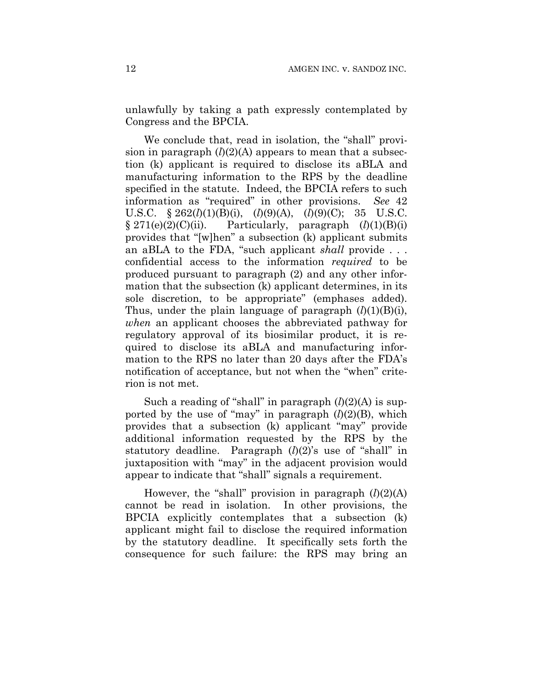unlawfully by taking a path expressly contemplated by Congress and the BPCIA.

We conclude that, read in isolation, the "shall" provision in paragraph  $(l)(2)(A)$  appears to mean that a subsection (k) applicant is required to disclose its aBLA and manufacturing information to the RPS by the deadline specified in the statute. Indeed, the BPCIA refers to such information as "required" in other provisions. *See* 42 U.S.C. § 262(*l*)(1)(B)(i), (*l*)(9)(A), (*l*)(9)(C); 35 U.S.C.  $§ 271(e)(2)(C)(ii)$ . Particularly, paragraph  $(l)(1)(B)(i)$ provides that "[w]hen" a subsection (k) applicant submits an aBLA to the FDA, "such applicant *shall* provide . . . confidential access to the information *required* to be produced pursuant to paragraph (2) and any other information that the subsection (k) applicant determines, in its sole discretion, to be appropriate" (emphases added). Thus, under the plain language of paragraph  $(l)(1)(B)(i)$ , *when* an applicant chooses the abbreviated pathway for regulatory approval of its biosimilar product, it is required to disclose its aBLA and manufacturing information to the RPS no later than 20 days after the FDA's notification of acceptance, but not when the "when" criterion is not met.

Such a reading of "shall" in paragraph (*l*)(2)(A) is supported by the use of "may" in paragraph  $(l)(2)(B)$ , which provides that a subsection (k) applicant "may" provide additional information requested by the RPS by the statutory deadline. Paragraph (*l*)(2)'s use of "shall" in juxtaposition with "may" in the adjacent provision would appear to indicate that "shall" signals a requirement.

However, the "shall" provision in paragraph  $(l)(2)(A)$ cannot be read in isolation. In other provisions, the BPCIA explicitly contemplates that a subsection (k) applicant might fail to disclose the required information by the statutory deadline. It specifically sets forth the consequence for such failure: the RPS may bring an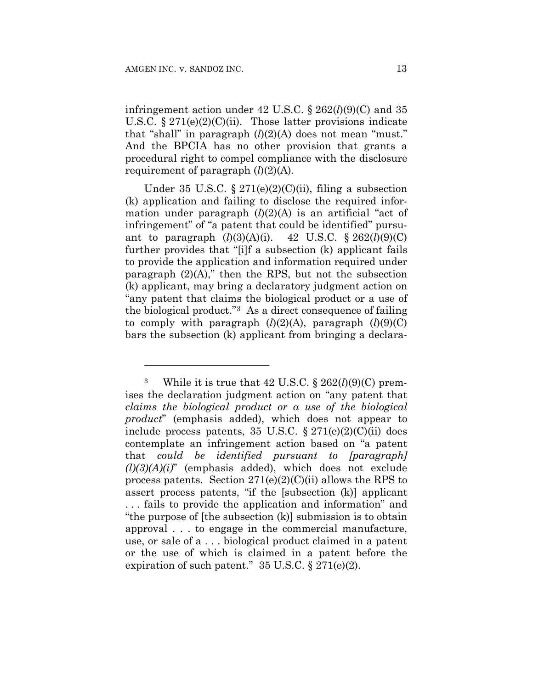<u>.</u>

infringement action under  $42 \text{ U.S.C.}$  §  $262(l)(9)(C)$  and 35 U.S.C.  $\S 271(e)(2)(C)(ii)$ . Those latter provisions indicate that "shall" in paragraph  $(l)(2)(A)$  does not mean "must." And the BPCIA has no other provision that grants a procedural right to compel compliance with the disclosure requirement of paragraph  $(l)(2)(A)$ .

Under 35 U.S.C.  $\S 271(e)(2)(C)(ii)$ , filing a subsection (k) application and failing to disclose the required information under paragraph  $(l)(2)(A)$  is an artificial "act of infringement" of "a patent that could be identified" pursuant to paragraph  $(l)(3)(A)(i)$ . 42 U.S.C. § 262 $(l)(9)(C)$ further provides that "[i]f a subsection (k) applicant fails to provide the application and information required under paragraph  $(2)(A)$ ," then the RPS, but not the subsection (k) applicant, may bring a declaratory judgment action on "any patent that claims the biological product or a use of the biological product."3 As a direct consequence of failing to comply with paragraph  $(l)(2)(A)$ , paragraph  $(l)(9)(C)$ bars the subsection (k) applicant from bringing a declara-

<sup>3</sup> While it is true that 42 U.S.C. § 262(*l*)(9)(C) premises the declaration judgment action on "any patent that *claims the biological product or a use of the biological product*" (emphasis added), which does not appear to include process patents, 35 U.S.C.  $\S 271(e)(2)(C)(ii)$  does contemplate an infringement action based on "a patent that *could be identified pursuant to [paragraph] (l)(3)(A)(i)*" (emphasis added), which does not exclude process patents. Section  $271(e)(2)(C)(ii)$  allows the RPS to assert process patents, "if the [subsection (k)] applicant . . . fails to provide the application and information" and "the purpose of [the subsection (k)] submission is to obtain approval . . . to engage in the commercial manufacture, use, or sale of a . . . biological product claimed in a patent or the use of which is claimed in a patent before the expiration of such patent."  $35 \text{ U.S.C.}$  §  $271(e)(2)$ .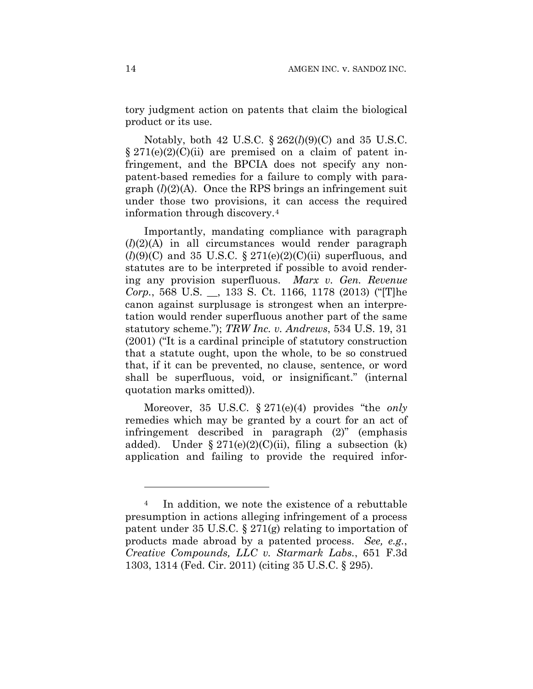tory judgment action on patents that claim the biological product or its use.

Notably, both 42 U.S.C. § 262(*l*)(9)(C) and 35 U.S.C.  $\S 271(e)(2)(C)(ii)$  are premised on a claim of patent infringement, and the BPCIA does not specify any nonpatent-based remedies for a failure to comply with paragraph (*l*)(2)(A). Once the RPS brings an infringement suit under those two provisions, it can access the required information through discovery.4

Importantly, mandating compliance with paragraph (*l*)(2)(A) in all circumstances would render paragraph  $(l)(9)(C)$  and 35 U.S.C. § 271(e)(2)(C)(ii) superfluous, and statutes are to be interpreted if possible to avoid rendering any provision superfluous. *Marx v. Gen. Revenue Corp.*, 568 U.S. \_\_, 133 S. Ct. 1166, 1178 (2013) ("[T]he canon against surplusage is strongest when an interpretation would render superfluous another part of the same statutory scheme."); *TRW Inc. v. Andrews*, 534 U.S. 19, 31 (2001) ("It is a cardinal principle of statutory construction that a statute ought, upon the whole, to be so construed that, if it can be prevented, no clause, sentence, or word shall be superfluous, void, or insignificant." (internal quotation marks omitted)).

Moreover, 35 U.S.C. § 271(e)(4) provides "the *only* remedies which may be granted by a court for an act of infringement described in paragraph (2)" (emphasis added). Under  $\S 271(e)(2)(C)(ii)$ , filing a subsection (k) application and failing to provide the required infor-

1

<sup>&</sup>lt;sup>4</sup> In addition, we note the existence of a rebuttable presumption in actions alleging infringement of a process patent under 35 U.S.C. § 271(g) relating to importation of products made abroad by a patented process. *See, e.g.*, *Creative Compounds, LLC v. Starmark Labs.*, 651 F.3d 1303, 1314 (Fed. Cir. 2011) (citing 35 U.S.C. § 295).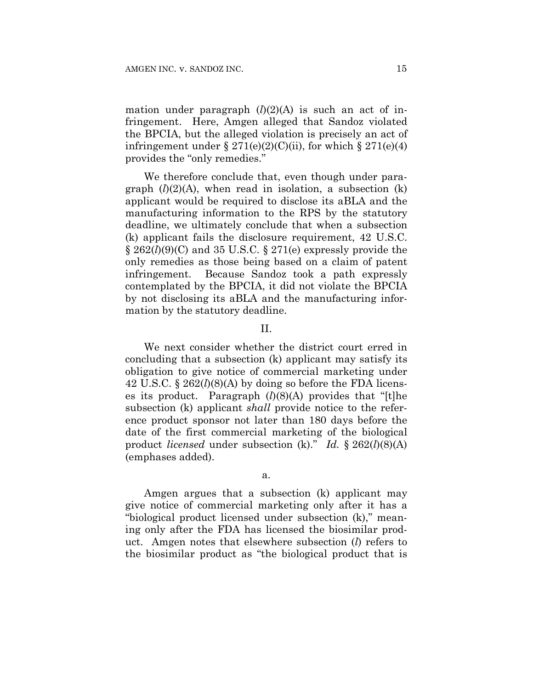mation under paragraph  $(l)(2)(A)$  is such an act of infringement. Here, Amgen alleged that Sandoz violated the BPCIA, but the alleged violation is precisely an act of infringement under  $\S 271(e)(2)(C)(ii)$ , for which  $\S 271(e)(4)$ provides the "only remedies."

We therefore conclude that, even though under paragraph  $(l)(2)(A)$ , when read in isolation, a subsection  $(k)$ applicant would be required to disclose its aBLA and the manufacturing information to the RPS by the statutory deadline, we ultimately conclude that when a subsection (k) applicant fails the disclosure requirement, 42 U.S.C. § 262(*l*)(9)(C) and 35 U.S.C. § 271(e) expressly provide the only remedies as those being based on a claim of patent infringement. Because Sandoz took a path expressly contemplated by the BPCIA, it did not violate the BPCIA by not disclosing its aBLA and the manufacturing information by the statutory deadline.

#### II.

We next consider whether the district court erred in concluding that a subsection (k) applicant may satisfy its obligation to give notice of commercial marketing under 42 U.S.C. § 262(*l*)(8)(A) by doing so before the FDA licenses its product. Paragraph (*l*)(8)(A) provides that "[t]he subsection (k) applicant *shall* provide notice to the reference product sponsor not later than 180 days before the date of the first commercial marketing of the biological product *licensed* under subsection (k)." *Id.* § 262(*l*)(8)(A) (emphases added).

#### a.

Amgen argues that a subsection (k) applicant may give notice of commercial marketing only after it has a "biological product licensed under subsection (k)," meaning only after the FDA has licensed the biosimilar product. Amgen notes that elsewhere subsection (*l*) refers to the biosimilar product as "the biological product that is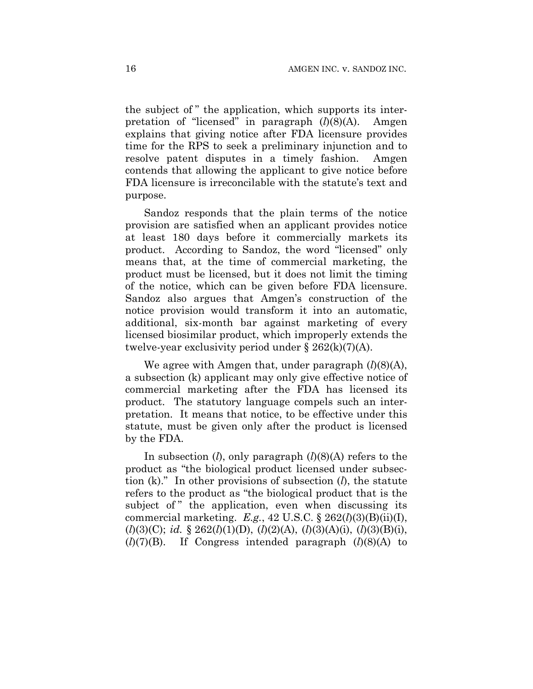the subject of " the application, which supports its interpretation of "licensed" in paragraph (*l*)(8)(A). Amgen explains that giving notice after FDA licensure provides time for the RPS to seek a preliminary injunction and to resolve patent disputes in a timely fashion. Amgen contends that allowing the applicant to give notice before FDA licensure is irreconcilable with the statute's text and purpose.

Sandoz responds that the plain terms of the notice provision are satisfied when an applicant provides notice at least 180 days before it commercially markets its product. According to Sandoz, the word "licensed" only means that, at the time of commercial marketing, the product must be licensed, but it does not limit the timing of the notice, which can be given before FDA licensure. Sandoz also argues that Amgen's construction of the notice provision would transform it into an automatic, additional, six-month bar against marketing of every licensed biosimilar product, which improperly extends the twelve-year exclusivity period under  $\S 262(k)(7)(A)$ .

We agree with Amgen that, under paragraph (*l*)(8)(A), a subsection (k) applicant may only give effective notice of commercial marketing after the FDA has licensed its product. The statutory language compels such an interpretation. It means that notice, to be effective under this statute, must be given only after the product is licensed by the FDA.

In subsection (*l*), only paragraph (*l*)(8)(A) refers to the product as "the biological product licensed under subsection (k)." In other provisions of subsection (*l*), the statute refers to the product as "the biological product that is the subject of " the application, even when discussing its commercial marketing. *E.g.*, 42 U.S.C. § 262(*l*)(3)(B)(ii)(I), (*l*)(3)(C); *id.* § 262(*l*)(1)(D), (*l*)(2)(A), (*l*)(3)(A)(i), (*l*)(3)(B)(i), (*l*)(7)(B). If Congress intended paragraph (*l*)(8)(A) to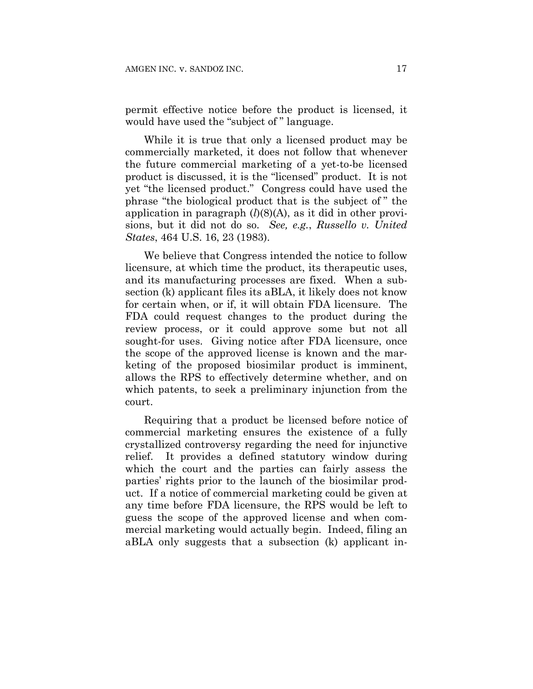permit effective notice before the product is licensed, it would have used the "subject of " language.

While it is true that only a licensed product may be commercially marketed, it does not follow that whenever the future commercial marketing of a yet-to-be licensed product is discussed, it is the "licensed" product. It is not yet "the licensed product." Congress could have used the phrase "the biological product that is the subject of " the application in paragraph  $(l)(8)(A)$ , as it did in other provisions, but it did not do so. *See, e.g.*, *Russello v. United States*, 464 U.S. 16, 23 (1983).

We believe that Congress intended the notice to follow licensure, at which time the product, its therapeutic uses, and its manufacturing processes are fixed. When a subsection (k) applicant files its aBLA, it likely does not know for certain when, or if, it will obtain FDA licensure. The FDA could request changes to the product during the review process, or it could approve some but not all sought-for uses. Giving notice after FDA licensure, once the scope of the approved license is known and the marketing of the proposed biosimilar product is imminent, allows the RPS to effectively determine whether, and on which patents, to seek a preliminary injunction from the court.

Requiring that a product be licensed before notice of commercial marketing ensures the existence of a fully crystallized controversy regarding the need for injunctive relief. It provides a defined statutory window during which the court and the parties can fairly assess the parties' rights prior to the launch of the biosimilar product. If a notice of commercial marketing could be given at any time before FDA licensure, the RPS would be left to guess the scope of the approved license and when commercial marketing would actually begin. Indeed, filing an aBLA only suggests that a subsection (k) applicant in-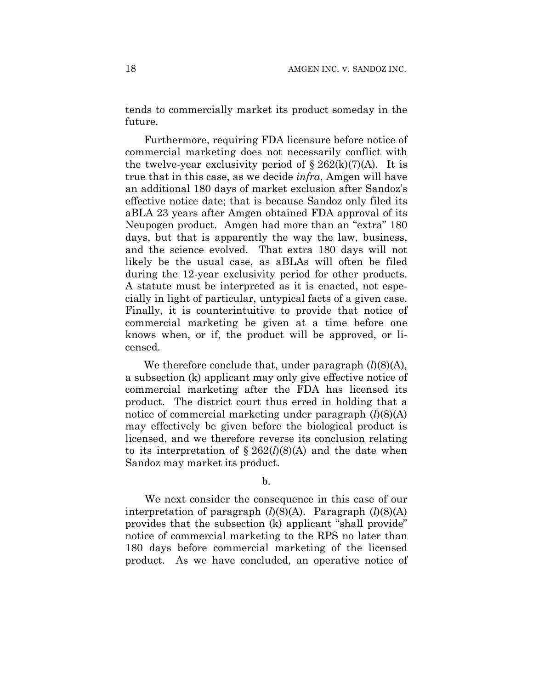tends to commercially market its product someday in the future.

Furthermore, requiring FDA licensure before notice of commercial marketing does not necessarily conflict with the twelve-year exclusivity period of  $\S 262(k)(7)(A)$ . It is true that in this case, as we decide *infra*, Amgen will have an additional 180 days of market exclusion after Sandoz's effective notice date; that is because Sandoz only filed its aBLA 23 years after Amgen obtained FDA approval of its Neupogen product. Amgen had more than an "extra" 180 days, but that is apparently the way the law, business, and the science evolved. That extra 180 days will not likely be the usual case, as aBLAs will often be filed during the 12-year exclusivity period for other products. A statute must be interpreted as it is enacted, not especially in light of particular, untypical facts of a given case. Finally, it is counterintuitive to provide that notice of commercial marketing be given at a time before one knows when, or if, the product will be approved, or licensed.

We therefore conclude that, under paragraph  $(l)(8)(A)$ , a subsection (k) applicant may only give effective notice of commercial marketing after the FDA has licensed its product. The district court thus erred in holding that a notice of commercial marketing under paragraph (*l*)(8)(A) may effectively be given before the biological product is licensed, and we therefore reverse its conclusion relating to its interpretation of  $\S 262(l)(8)(A)$  and the date when Sandoz may market its product.

b.

We next consider the consequence in this case of our interpretation of paragraph (*l*)(8)(A). Paragraph (*l*)(8)(A) provides that the subsection (k) applicant "shall provide" notice of commercial marketing to the RPS no later than 180 days before commercial marketing of the licensed product. As we have concluded, an operative notice of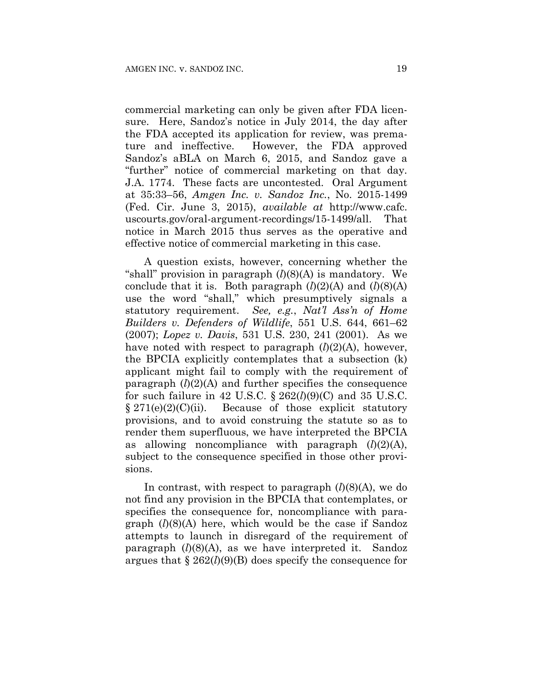commercial marketing can only be given after FDA licensure. Here, Sandoz's notice in July 2014, the day after the FDA accepted its application for review, was premature and ineffective. However, the FDA approved Sandoz's aBLA on March 6, 2015, and Sandoz gave a "further" notice of commercial marketing on that day. J.A. 1774. These facts are uncontested. Oral Argument at 35:33–56, *Amgen Inc. v. Sandoz Inc.*, No. 2015-1499 (Fed. Cir. June 3, 2015), *available at* http://www.cafc. uscourts.gov/oral-argument-recordings/15-1499/all. That notice in March 2015 thus serves as the operative and effective notice of commercial marketing in this case.

A question exists, however, concerning whether the "shall" provision in paragraph (*l*)(8)(A) is mandatory. We conclude that it is. Both paragraph  $(l)(2)(A)$  and  $(l)(8)(A)$ use the word "shall," which presumptively signals a statutory requirement. *See, e.g.*, *Nat'l Ass'n of Home Builders v. Defenders of Wildlife*, 551 U.S. 644, 661–62 (2007); *Lopez v. Davis*, 531 U.S. 230, 241 (2001). As we have noted with respect to paragraph (*l*)(2)(A), however, the BPCIA explicitly contemplates that a subsection (k) applicant might fail to comply with the requirement of paragraph  $(l)(2)(A)$  and further specifies the consequence for such failure in 42 U.S.C. § 262(*l*)(9)(C) and 35 U.S.C.  $§ 271(e)(2)(C)(ii)$ . Because of those explicit statutory provisions, and to avoid construing the statute so as to render them superfluous, we have interpreted the BPCIA as allowing noncompliance with paragraph  $(l)(2)(A)$ , subject to the consequence specified in those other provisions.

In contrast, with respect to paragraph  $(l)(8)(A)$ , we do not find any provision in the BPCIA that contemplates, or specifies the consequence for, noncompliance with paragraph (*l*)(8)(A) here, which would be the case if Sandoz attempts to launch in disregard of the requirement of paragraph (*l*)(8)(A), as we have interpreted it. Sandoz argues that § 262(*l*)(9)(B) does specify the consequence for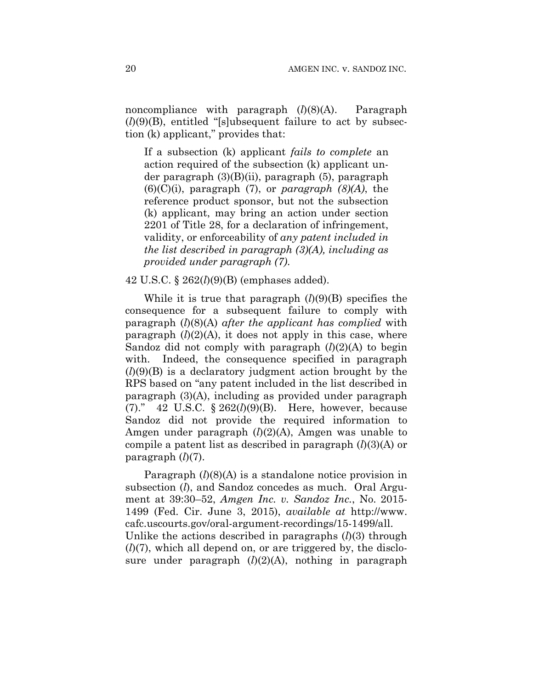noncompliance with paragraph (*l*)(8)(A). Paragraph  $(l)(9)(B)$ , entitled "[s]ubsequent failure to act by subsection (k) applicant," provides that:

If a subsection (k) applicant *fails to complete* an action required of the subsection (k) applicant under paragraph (3)(B)(ii), paragraph (5), paragraph (6)(C)(i), paragraph (7), or *paragraph (8)(A)*, the reference product sponsor, but not the subsection (k) applicant, may bring an action under section 2201 of Title 28, for a declaration of infringement, validity, or enforceability of *any patent included in the list described in paragraph (3)(A), including as provided under paragraph (7)*.

#### 42 U.S.C. § 262(*l*)(9)(B) (emphases added).

While it is true that paragraph (*l*)(9)(B) specifies the consequence for a subsequent failure to comply with paragraph (*l*)(8)(A) *after the applicant has complied* with paragraph  $(l)(2)(A)$ , it does not apply in this case, where Sandoz did not comply with paragraph (*l*)(2)(A) to begin with. Indeed, the consequence specified in paragraph (*l*)(9)(B) is a declaratory judgment action brought by the RPS based on "any patent included in the list described in paragraph (3)(A), including as provided under paragraph (7)." 42 U.S.C. § 262(*l*)(9)(B). Here, however, because Sandoz did not provide the required information to Amgen under paragraph (*l*)(2)(A), Amgen was unable to compile a patent list as described in paragraph (*l*)(3)(A) or paragraph (*l*)(7).

Paragraph (*l*)(8)(A) is a standalone notice provision in subsection (*l*), and Sandoz concedes as much. Oral Argument at 39:30–52, *Amgen Inc. v. Sandoz Inc.*, No. 2015- 1499 (Fed. Cir. June 3, 2015), *available at* http://www. cafc.uscourts.gov/oral-argument-recordings/15-1499/all. Unlike the actions described in paragraphs (*l*)(3) through (*l*)(7), which all depend on, or are triggered by, the disclosure under paragraph (*l*)(2)(A), nothing in paragraph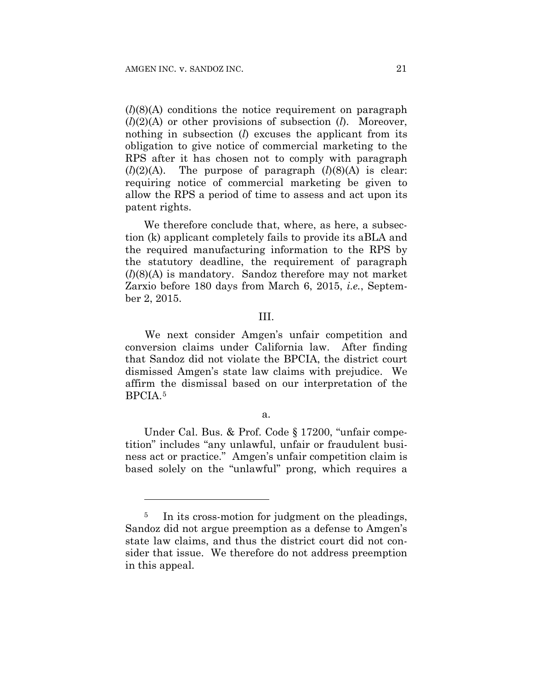1

(*l*)(8)(A) conditions the notice requirement on paragraph (*l*)(2)(A) or other provisions of subsection (*l*). Moreover, nothing in subsection (*l*) excuses the applicant from its obligation to give notice of commercial marketing to the RPS after it has chosen not to comply with paragraph  $(l)(2)(A)$ . The purpose of paragraph  $(l)(8)(A)$  is clear: requiring notice of commercial marketing be given to allow the RPS a period of time to assess and act upon its patent rights.

We therefore conclude that, where, as here, a subsection (k) applicant completely fails to provide its aBLA and the required manufacturing information to the RPS by the statutory deadline, the requirement of paragraph (*l*)(8)(A) is mandatory. Sandoz therefore may not market Zarxio before 180 days from March 6, 2015, *i.e.*, September 2, 2015.

#### III.

We next consider Amgen's unfair competition and conversion claims under California law. After finding that Sandoz did not violate the BPCIA, the district court dismissed Amgen's state law claims with prejudice. We affirm the dismissal based on our interpretation of the BPCIA.5

#### a.

Under Cal. Bus. & Prof. Code § 17200, "unfair competition" includes "any unlawful, unfair or fraudulent business act or practice." Amgen's unfair competition claim is based solely on the "unlawful" prong, which requires a

<sup>&</sup>lt;sup>5</sup> In its cross-motion for judgment on the pleadings, Sandoz did not argue preemption as a defense to Amgen's state law claims, and thus the district court did not consider that issue. We therefore do not address preemption in this appeal.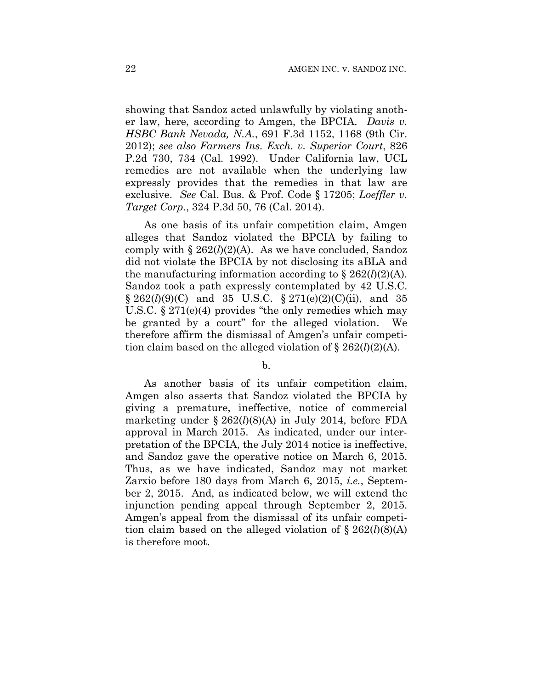showing that Sandoz acted unlawfully by violating another law, here, according to Amgen, the BPCIA. *Davis v. HSBC Bank Nevada, N.A.*, 691 F.3d 1152, 1168 (9th Cir. 2012); *see also Farmers Ins. Exch. v. Superior Court*, 826 P.2d 730, 734 (Cal. 1992). Under California law, UCL remedies are not available when the underlying law expressly provides that the remedies in that law are exclusive. *See* Cal. Bus. & Prof. Code § 17205; *Loeffler v. Target Corp.*, 324 P.3d 50, 76 (Cal. 2014).

As one basis of its unfair competition claim, Amgen alleges that Sandoz violated the BPCIA by failing to comply with  $\S 262(l)(2)(A)$ . As we have concluded, Sandoz did not violate the BPCIA by not disclosing its aBLA and the manufacturing information according to  $\S 262(l)(2)$ (A). Sandoz took a path expressly contemplated by 42 U.S.C. § 262(*l*)(9)(*C*) and 35 U.S.C. § 271(e)(2)(*C*)(ii), and 35 U.S.C.  $\S 271(e)(4)$  provides "the only remedies which may be granted by a court" for the alleged violation. We therefore affirm the dismissal of Amgen's unfair competition claim based on the alleged violation of § 262(*l*)(2)(A).

b.

As another basis of its unfair competition claim, Amgen also asserts that Sandoz violated the BPCIA by giving a premature, ineffective, notice of commercial marketing under § 262(*l*)(8)(A) in July 2014, before FDA approval in March 2015. As indicated, under our interpretation of the BPCIA, the July 2014 notice is ineffective, and Sandoz gave the operative notice on March 6, 2015. Thus, as we have indicated, Sandoz may not market Zarxio before 180 days from March 6, 2015, *i.e.*, September 2, 2015. And, as indicated below, we will extend the injunction pending appeal through September 2, 2015. Amgen's appeal from the dismissal of its unfair competition claim based on the alleged violation of  $\S 262(l)(8)(A)$ is therefore moot.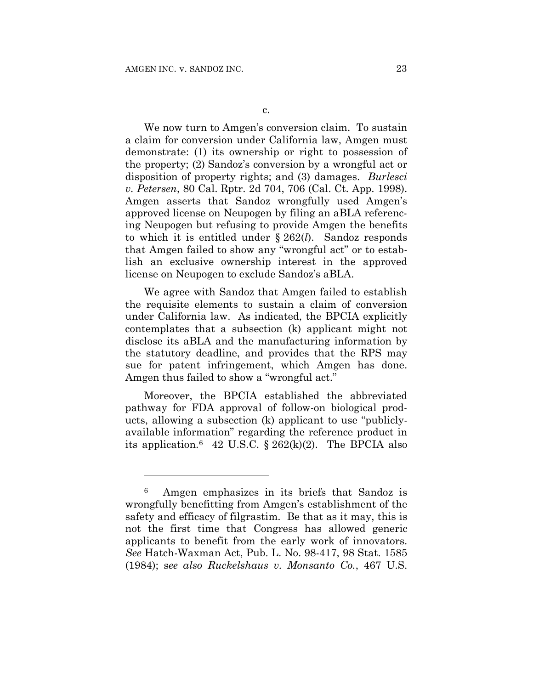<u>.</u>

We now turn to Amgen's conversion claim. To sustain a claim for conversion under California law, Amgen must demonstrate: (1) its ownership or right to possession of the property; (2) Sandoz's conversion by a wrongful act or disposition of property rights; and (3) damages. *Burlesci v. Petersen*, 80 Cal. Rptr. 2d 704, 706 (Cal. Ct. App. 1998). Amgen asserts that Sandoz wrongfully used Amgen's approved license on Neupogen by filing an aBLA referencing Neupogen but refusing to provide Amgen the benefits to which it is entitled under § 262(*l*). Sandoz responds that Amgen failed to show any "wrongful act" or to establish an exclusive ownership interest in the approved license on Neupogen to exclude Sandoz's aBLA.

We agree with Sandoz that Amgen failed to establish the requisite elements to sustain a claim of conversion under California law. As indicated, the BPCIA explicitly contemplates that a subsection (k) applicant might not disclose its aBLA and the manufacturing information by the statutory deadline, and provides that the RPS may sue for patent infringement, which Amgen has done. Amgen thus failed to show a "wrongful act."

Moreover, the BPCIA established the abbreviated pathway for FDA approval of follow-on biological products, allowing a subsection (k) applicant to use "publiclyavailable information" regarding the reference product in its application.<sup>6</sup> 42 U.S.C. § 262 $(k)(2)$ . The BPCIA also

<sup>6</sup> Amgen emphasizes in its briefs that Sandoz is wrongfully benefitting from Amgen's establishment of the safety and efficacy of filgrastim. Be that as it may, this is not the first time that Congress has allowed generic applicants to benefit from the early work of innovators. *See* Hatch-Waxman Act, Pub. L. No. 98-417, 98 Stat. 1585 (1984); s*ee also Ruckelshaus v. Monsanto Co.*, 467 U.S.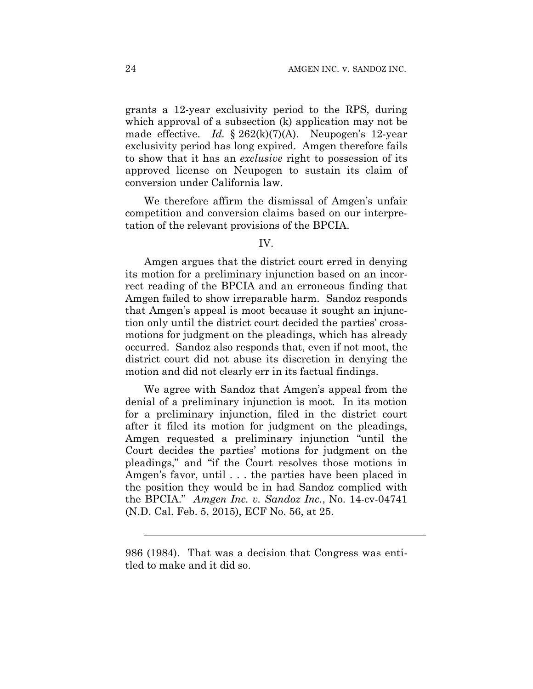grants a 12-year exclusivity period to the RPS, during which approval of a subsection (k) application may not be made effective. *Id.* § 262(k)(7)(A). Neupogen's 12-year exclusivity period has long expired. Amgen therefore fails to show that it has an *exclusive* right to possession of its approved license on Neupogen to sustain its claim of conversion under California law.

We therefore affirm the dismissal of Amgen's unfair competition and conversion claims based on our interpretation of the relevant provisions of the BPCIA.

## IV.

Amgen argues that the district court erred in denying its motion for a preliminary injunction based on an incorrect reading of the BPCIA and an erroneous finding that Amgen failed to show irreparable harm. Sandoz responds that Amgen's appeal is moot because it sought an injunction only until the district court decided the parties' crossmotions for judgment on the pleadings, which has already occurred. Sandoz also responds that, even if not moot, the district court did not abuse its discretion in denying the motion and did not clearly err in its factual findings.

We agree with Sandoz that Amgen's appeal from the denial of a preliminary injunction is moot. In its motion for a preliminary injunction, filed in the district court after it filed its motion for judgment on the pleadings, Amgen requested a preliminary injunction "until the Court decides the parties' motions for judgment on the pleadings," and "if the Court resolves those motions in Amgen's favor, until . . . the parties have been placed in the position they would be in had Sandoz complied with the BPCIA." *Amgen Inc. v. Sandoz Inc.*, No. 14-cv-04741 (N.D. Cal. Feb. 5, 2015), ECF No. 56, at 25.

l

<sup>986</sup> (1984). That was a decision that Congress was entitled to make and it did so.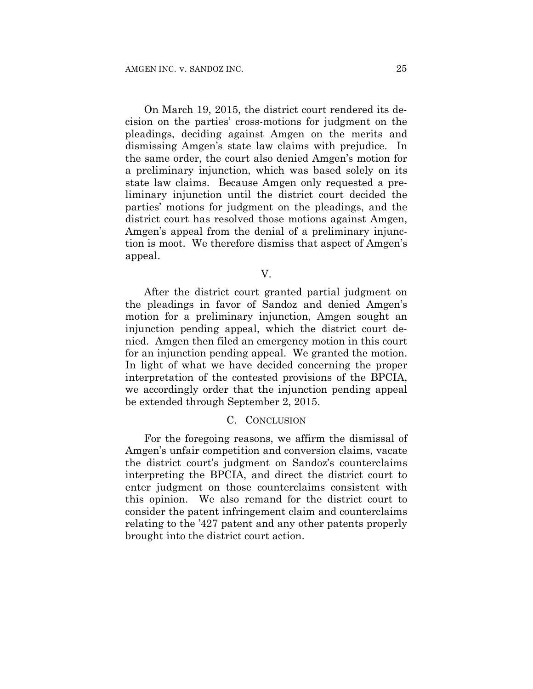On March 19, 2015, the district court rendered its decision on the parties' cross-motions for judgment on the pleadings, deciding against Amgen on the merits and dismissing Amgen's state law claims with prejudice. In the same order, the court also denied Amgen's motion for a preliminary injunction, which was based solely on its state law claims. Because Amgen only requested a preliminary injunction until the district court decided the parties' motions for judgment on the pleadings, and the district court has resolved those motions against Amgen, Amgen's appeal from the denial of a preliminary injunction is moot. We therefore dismiss that aspect of Amgen's appeal.

V.

After the district court granted partial judgment on the pleadings in favor of Sandoz and denied Amgen's motion for a preliminary injunction, Amgen sought an injunction pending appeal, which the district court denied. Amgen then filed an emergency motion in this court for an injunction pending appeal. We granted the motion. In light of what we have decided concerning the proper interpretation of the contested provisions of the BPCIA, we accordingly order that the injunction pending appeal be extended through September 2, 2015.

#### C. CONCLUSION

For the foregoing reasons, we affirm the dismissal of Amgen's unfair competition and conversion claims, vacate the district court's judgment on Sandoz's counterclaims interpreting the BPCIA, and direct the district court to enter judgment on those counterclaims consistent with this opinion. We also remand for the district court to consider the patent infringement claim and counterclaims relating to the '427 patent and any other patents properly brought into the district court action.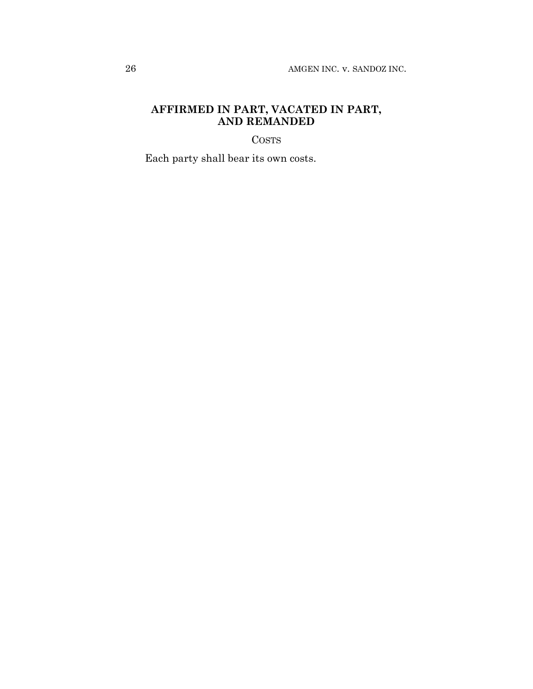## **AFFIRMED IN PART, VACATED IN PART, AND REMANDED**

**COSTS** 

Each party shall bear its own costs.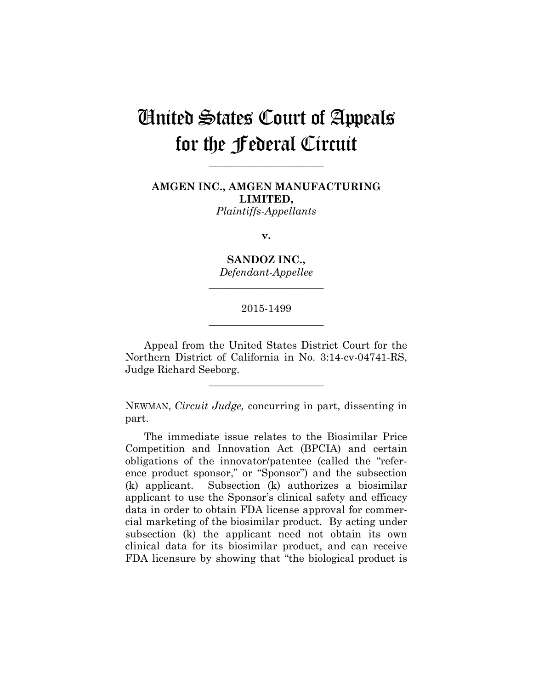## United States Court of Appeals for the Federal Circuit

**AMGEN INC., AMGEN MANUFACTURING LIMITED,** *Plaintiffs-Appellants*

**\_\_\_\_\_\_\_\_\_\_\_\_\_\_\_\_\_\_\_\_\_\_** 

**v.**

**SANDOZ INC.,** *Defendant-Appellee*

**\_\_\_\_\_\_\_\_\_\_\_\_\_\_\_\_\_\_\_\_\_\_** 

## 2015-1499 **\_\_\_\_\_\_\_\_\_\_\_\_\_\_\_\_\_\_\_\_\_\_**

Appeal from the United States District Court for the Northern District of California in No. 3:14-cv-04741-RS, Judge Richard Seeborg.

**\_\_\_\_\_\_\_\_\_\_\_\_\_\_\_\_\_\_\_\_\_\_** 

NEWMAN, *Circuit Judge,* concurring in part, dissenting in part.

The immediate issue relates to the Biosimilar Price Competition and Innovation Act (BPCIA) and certain obligations of the innovator/patentee (called the "reference product sponsor," or "Sponsor") and the subsection (k) applicant. Subsection (k) authorizes a biosimilar applicant to use the Sponsor's clinical safety and efficacy data in order to obtain FDA license approval for commercial marketing of the biosimilar product. By acting under subsection (k) the applicant need not obtain its own clinical data for its biosimilar product, and can receive FDA licensure by showing that "the biological product is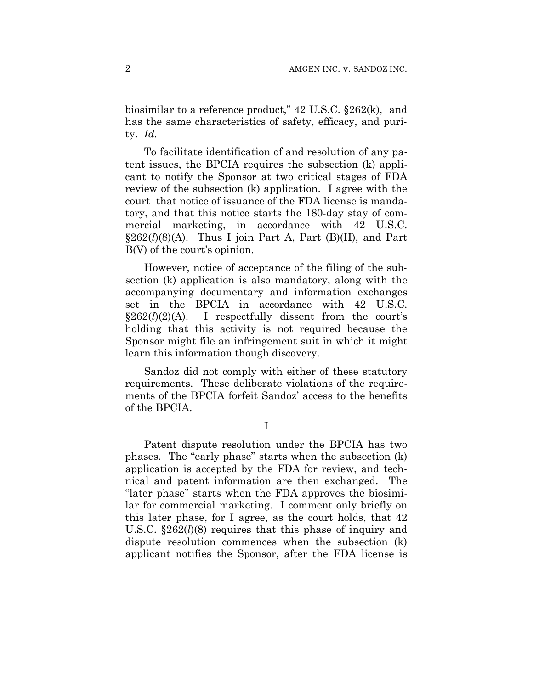biosimilar to a reference product," 42 U.S.C. §262(k), and has the same characteristics of safety, efficacy, and purity. *Id.*

To facilitate identification of and resolution of any patent issues, the BPCIA requires the subsection (k) applicant to notify the Sponsor at two critical stages of FDA review of the subsection (k) application. I agree with the court that notice of issuance of the FDA license is mandatory, and that this notice starts the 180-day stay of commercial marketing, in accordance with 42 U.S.C.  $\S 262(l)(8)(A)$ . Thus I join Part A, Part (B)(II), and Part B(V) of the court's opinion.

However, notice of acceptance of the filing of the subsection (k) application is also mandatory, along with the accompanying documentary and information exchanges set in the BPCIA in accordance with 42 U.S.C.  $\S262(l)(2)(A)$ . I respectfully dissent from the court's holding that this activity is not required because the Sponsor might file an infringement suit in which it might learn this information though discovery.

Sandoz did not comply with either of these statutory requirements. These deliberate violations of the requirements of the BPCIA forfeit Sandoz' access to the benefits of the BPCIA.

I

Patent dispute resolution under the BPCIA has two phases. The "early phase" starts when the subsection (k) application is accepted by the FDA for review, and technical and patent information are then exchanged. The "later phase" starts when the FDA approves the biosimilar for commercial marketing. I comment only briefly on this later phase, for I agree, as the court holds, that 42 U.S.C. §262(*l*)(8) requires that this phase of inquiry and dispute resolution commences when the subsection (k) applicant notifies the Sponsor, after the FDA license is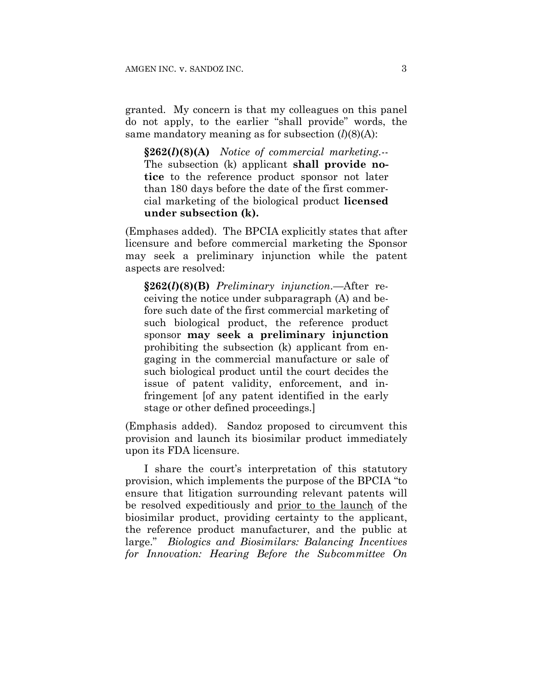granted. My concern is that my colleagues on this panel do not apply, to the earlier "shall provide" words, the same mandatory meaning as for subsection (*l*)(8)(A):

**§262(***l***)(8)(A)** *Notice of commercial marketing.*-- The subsection (k) applicant **shall provide notice** to the reference product sponsor not later than 180 days before the date of the first commercial marketing of the biological product **licensed under subsection (k).**

(Emphases added). The BPCIA explicitly states that after licensure and before commercial marketing the Sponsor may seek a preliminary injunction while the patent aspects are resolved:

**§262(***l***)(8)(B)** *Preliminary injunction*.—After receiving the notice under subparagraph (A) and before such date of the first commercial marketing of such biological product, the reference product sponsor **may seek a preliminary injunction** prohibiting the subsection (k) applicant from engaging in the commercial manufacture or sale of such biological product until the court decides the issue of patent validity, enforcement, and infringement [of any patent identified in the early stage or other defined proceedings.]

(Emphasis added). Sandoz proposed to circumvent this provision and launch its biosimilar product immediately upon its FDA licensure.

I share the court's interpretation of this statutory provision, which implements the purpose of the BPCIA "to ensure that litigation surrounding relevant patents will be resolved expeditiously and prior to the launch of the biosimilar product, providing certainty to the applicant, the reference product manufacturer, and the public at large." *Biologics and Biosimilars: Balancing Incentives for Innovation: Hearing Before the Subcommittee On*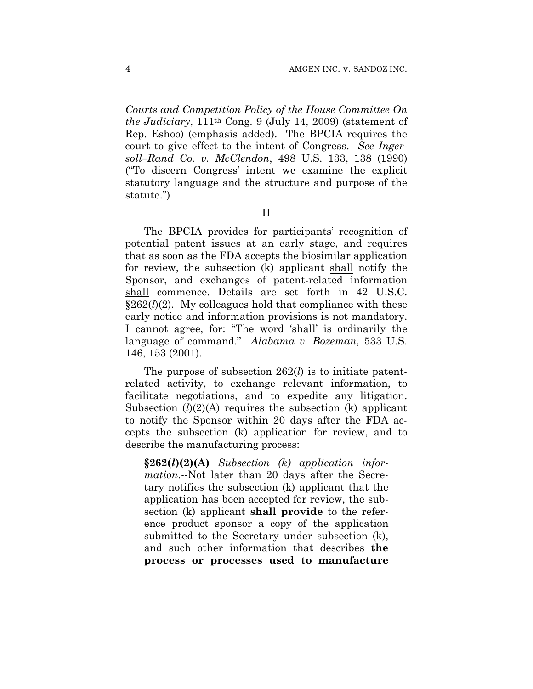*Courts and Competition Policy of the House Committee On the Judiciary*, 111th Cong. 9 (July 14, 2009) (statement of Rep. Eshoo) (emphasis added). The BPCIA requires the court to give effect to the intent of Congress. *See Ingersoll–Rand Co. v. McClendon*, 498 U.S. 133, 138 (1990) ("To discern Congress' intent we examine the explicit statutory language and the structure and purpose of the statute.")

II

The BPCIA provides for participants' recognition of potential patent issues at an early stage, and requires that as soon as the FDA accepts the biosimilar application for review, the subsection (k) applicant shall notify the Sponsor, and exchanges of patent-related information shall commence. Details are set forth in 42 U.S.C.  $§262(l)(2)$ . My colleagues hold that compliance with these early notice and information provisions is not mandatory. I cannot agree, for: "The word 'shall' is ordinarily the language of command." *Alabama v. Bozeman*, 533 U.S. 146, 153 (2001).

The purpose of subsection 262(*l*) is to initiate patentrelated activity, to exchange relevant information, to facilitate negotiations, and to expedite any litigation. Subsection (*l*)(2)(A) requires the subsection (k) applicant to notify the Sponsor within 20 days after the FDA accepts the subsection (k) application for review, and to describe the manufacturing process:

**§262(***l***)(2)(A)** *Subsection (k) application information*.--Not later than 20 days after the Secretary notifies the subsection (k) applicant that the application has been accepted for review, the subsection (k) applicant **shall provide** to the reference product sponsor a copy of the application submitted to the Secretary under subsection (k), and such other information that describes **the process or processes used to manufacture**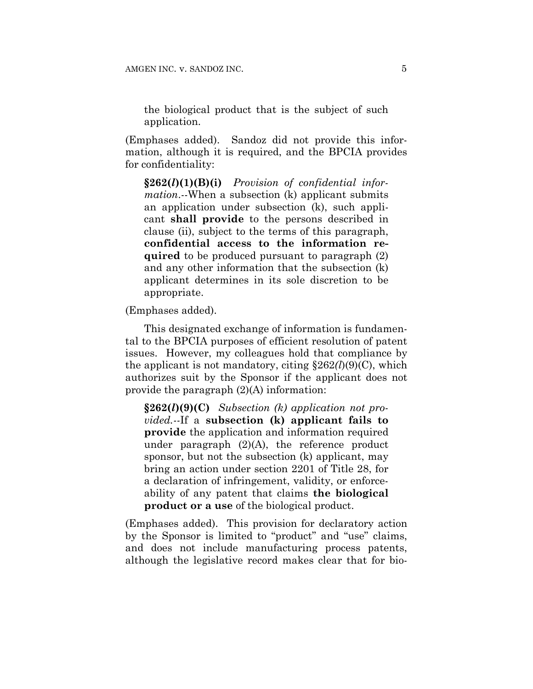the biological product that is the subject of such application.

(Emphases added). Sandoz did not provide this information, although it is required, and the BPCIA provides for confidentiality:

**§262(***l***)(1)(B)(i)** *Provision of confidential information*.--When a subsection (k) applicant submits an application under subsection (k), such applicant **shall provide** to the persons described in clause (ii), subject to the terms of this paragraph, **confidential access to the information required** to be produced pursuant to paragraph (2) and any other information that the subsection (k) applicant determines in its sole discretion to be appropriate.

(Emphases added).

This designated exchange of information is fundamental to the BPCIA purposes of efficient resolution of patent issues. However, my colleagues hold that compliance by the applicant is not mandatory, citing  $\S 262(l)(9)(C)$ , which authorizes suit by the Sponsor if the applicant does not provide the paragraph (2)(A) information:

**§262(***l***)(9)(C)** *Subsection (k) application not provided.--*If a **subsection (k) applicant fails to provide** the application and information required under paragraph (2)(A), the reference product sponsor, but not the subsection (k) applicant, may bring an action under section 2201 of Title 28, for a declaration of infringement, validity, or enforceability of any patent that claims **the biological product or a use** of the biological product.

(Emphases added). This provision for declaratory action by the Sponsor is limited to "product" and "use" claims, and does not include manufacturing process patents, although the legislative record makes clear that for bio-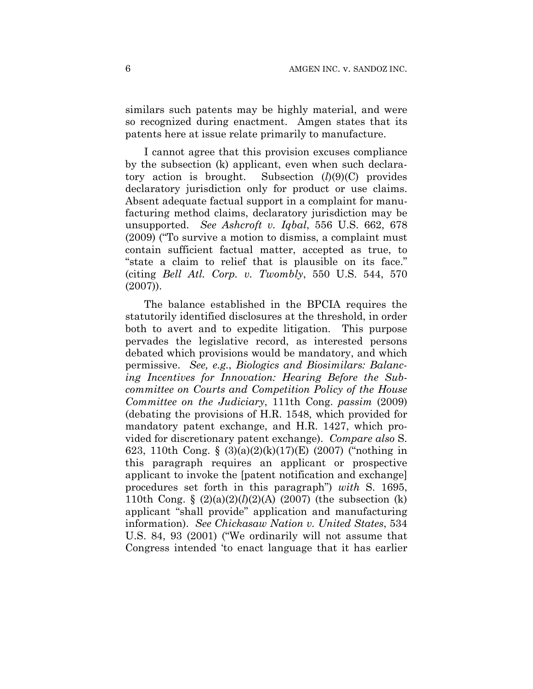similars such patents may be highly material, and were so recognized during enactment. Amgen states that its patents here at issue relate primarily to manufacture.

I cannot agree that this provision excuses compliance by the subsection (k) applicant, even when such declaratory action is brought. Subsection (*l*)(9)(C) provides declaratory jurisdiction only for product or use claims. Absent adequate factual support in a complaint for manufacturing method claims, declaratory jurisdiction may be unsupported. *See Ashcroft v. Iqbal*, 556 U.S. 662, 678 (2009) ("To survive a motion to dismiss, a complaint must contain sufficient factual matter, accepted as true, to "state a claim to relief that is plausible on its face." (citing *Bell Atl. Corp. v. Twombly*, 550 U.S. 544, 570 (2007)).

The balance established in the BPCIA requires the statutorily identified disclosures at the threshold, in order both to avert and to expedite litigation. This purpose pervades the legislative record, as interested persons debated which provisions would be mandatory, and which permissive. *See, e.g.*, *Biologics and Biosimilars: Balancing Incentives for Innovation: Hearing Before the Subcommittee on Courts and Competition Policy of the House Committee on the Judiciary*, 111th Cong. *passim* (2009) (debating the provisions of H.R. 1548, which provided for mandatory patent exchange, and H.R. 1427, which provided for discretionary patent exchange). *Compare also* S. 623, 110th Cong. § (3)(a)(2)(k)(17)(E) (2007) ("nothing in this paragraph requires an applicant or prospective applicant to invoke the [patent notification and exchange] procedures set forth in this paragraph") *with* S. 1695, 110th Cong.  $\S$  (2)(a)(2)(l)(2)(A) (2007) (the subsection (k) applicant "shall provide" application and manufacturing information). *See Chickasaw Nation v. United States*, 534 U.S. 84, 93 (2001) ("We ordinarily will not assume that Congress intended 'to enact language that it has earlier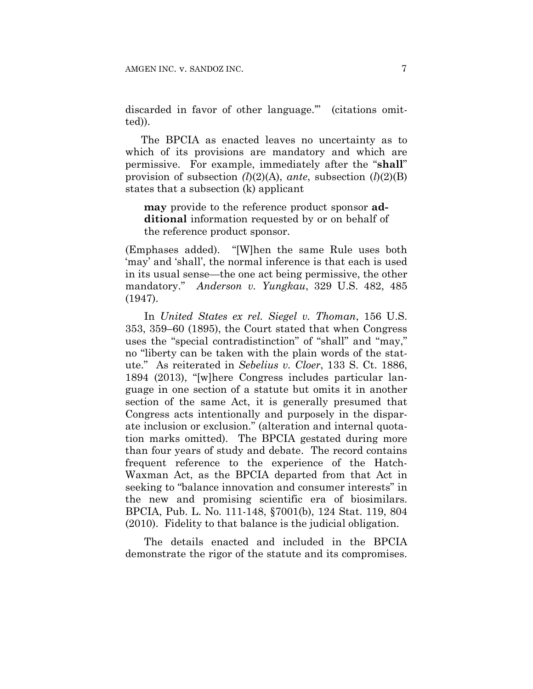discarded in favor of other language.'" (citations omitted)).

The BPCIA as enacted leaves no uncertainty as to which of its provisions are mandatory and which are permissive. For example, immediately after the "**shall**" provision of subsection *(l*)(2)(A), *ante*, subsection (*l*)(2)(B) states that a subsection (k) applicant

**may** provide to the reference product sponsor **additional** information requested by or on behalf of the reference product sponsor.

(Emphases added). "[W]hen the same Rule uses both 'may' and 'shall', the normal inference is that each is used in its usual sense—the one act being permissive, the other mandatory." *Anderson v. Yungkau*, 329 U.S. 482, 485 (1947).

In *United States ex rel. Siegel v. Thoman*, 156 U.S. 353, 359–60 (1895), the Court stated that when Congress uses the "special contradistinction" of "shall" and "may," no "liberty can be taken with the plain words of the statute." As reiterated in *Sebelius v. Cloer*, 133 S. Ct. 1886, 1894 (2013), "[w]here Congress includes particular language in one section of a statute but omits it in another section of the same Act, it is generally presumed that Congress acts intentionally and purposely in the disparate inclusion or exclusion." (alteration and internal quotation marks omitted). The BPCIA gestated during more than four years of study and debate. The record contains frequent reference to the experience of the Hatch-Waxman Act, as the BPCIA departed from that Act in seeking to "balance innovation and consumer interests" in the new and promising scientific era of biosimilars. BPCIA, Pub. L. No. 111-148, §7001(b), 124 Stat. 119, 804 (2010). Fidelity to that balance is the judicial obligation.

The details enacted and included in the BPCIA demonstrate the rigor of the statute and its compromises.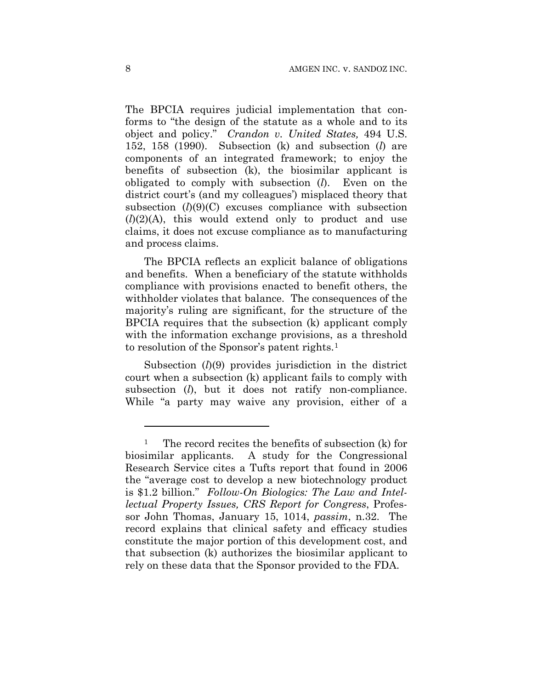The BPCIA requires judicial implementation that conforms to "the design of the statute as a whole and to its object and policy." *Crandon v. United States,* 494 U.S. 152, 158 (1990). Subsection (k) and subsection (*l*) are components of an integrated framework; to enjoy the benefits of subsection (k), the biosimilar applicant is obligated to comply with subsection (*l*). Even on the district court's (and my colleagues') misplaced theory that subsection  $(l)(9)(C)$  excuses compliance with subsection  $(l)(2)(A)$ , this would extend only to product and use claims, it does not excuse compliance as to manufacturing and process claims.

The BPCIA reflects an explicit balance of obligations and benefits. When a beneficiary of the statute withholds compliance with provisions enacted to benefit others, the withholder violates that balance. The consequences of the majority's ruling are significant, for the structure of the BPCIA requires that the subsection (k) applicant comply with the information exchange provisions, as a threshold to resolution of the Sponsor's patent rights.1

Subsection (*l*)(9) provides jurisdiction in the district court when a subsection (k) applicant fails to comply with subsection (*l*), but it does not ratify non-compliance. While "a party may waive any provision, either of a

1

<sup>&</sup>lt;sup>1</sup> The record recites the benefits of subsection (k) for biosimilar applicants. A study for the Congressional Research Service cites a Tufts report that found in 2006 the "average cost to develop a new biotechnology product is \$1.2 billion." *Follow-On Biologics: The Law and Intellectual Property Issues, CRS Report for Congress*, Professor John Thomas, January 15, 1014, *passim*, n.32. The record explains that clinical safety and efficacy studies constitute the major portion of this development cost, and that subsection (k) authorizes the biosimilar applicant to rely on these data that the Sponsor provided to the FDA.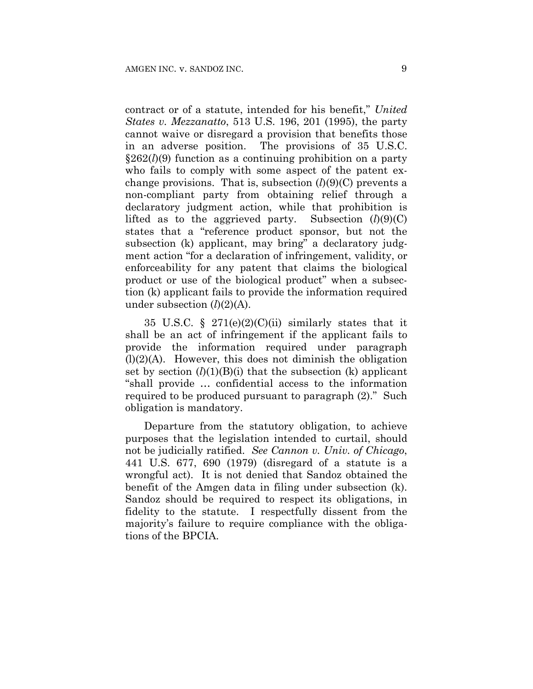contract or of a statute, intended for his benefit," *United States v. Mezzanatto*, 513 U.S. 196, 201 (1995), the party cannot waive or disregard a provision that benefits those in an adverse position. The provisions of 35 U.S.C. §262(*l*)(9) function as a continuing prohibition on a party who fails to comply with some aspect of the patent exchange provisions. That is, subsection  $(l)(9)(C)$  prevents a non-compliant party from obtaining relief through a declaratory judgment action, while that prohibition is lifted as to the aggrieved party. Subsection  $(l)(9)(C)$ states that a "reference product sponsor, but not the subsection (k) applicant, may bring" a declaratory judgment action "for a declaration of infringement, validity, or enforceability for any patent that claims the biological product or use of the biological product" when a subsection (k) applicant fails to provide the information required under subsection (*l*)(2)(A).

35 U.S.C. §  $271(e)(2)(C)(ii)$  similarly states that it shall be an act of infringement if the applicant fails to provide the information required under paragraph  $(l)(2)(A)$ . However, this does not diminish the obligation set by section  $(l)(1)(B)(i)$  that the subsection  $(k)$  applicant "shall provide … confidential access to the information required to be produced pursuant to paragraph (2)." Such obligation is mandatory.

Departure from the statutory obligation, to achieve purposes that the legislation intended to curtail, should not be judicially ratified. *See Cannon v. Univ. of Chicago*, 441 U.S. 677, 690 (1979) (disregard of a statute is a wrongful act). It is not denied that Sandoz obtained the benefit of the Amgen data in filing under subsection (k). Sandoz should be required to respect its obligations, in fidelity to the statute. I respectfully dissent from the majority's failure to require compliance with the obligations of the BPCIA.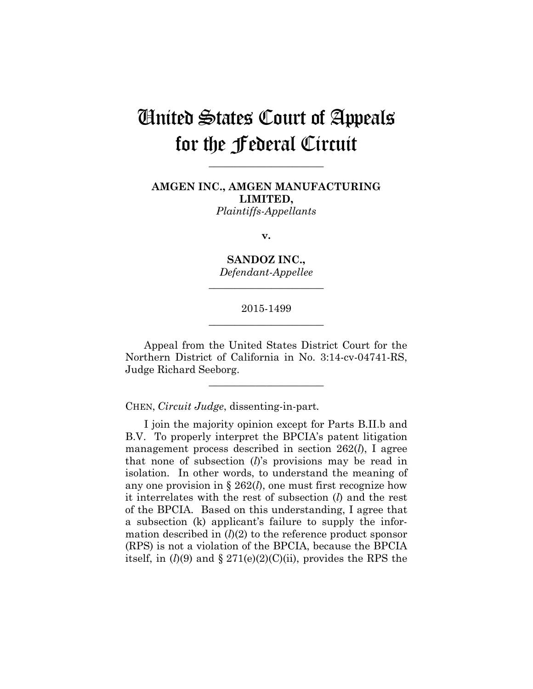## United States Court of Appeals for the Federal Circuit

**\_\_\_\_\_\_\_\_\_\_\_\_\_\_\_\_\_\_\_\_\_\_** 

**AMGEN INC., AMGEN MANUFACTURING LIMITED,** *Plaintiffs-Appellants*

**v.**

**SANDOZ INC.,** *Defendant-Appellee*

**\_\_\_\_\_\_\_\_\_\_\_\_\_\_\_\_\_\_\_\_\_\_** 

## 2015-1499 **\_\_\_\_\_\_\_\_\_\_\_\_\_\_\_\_\_\_\_\_\_\_**

Appeal from the United States District Court for the Northern District of California in No. 3:14-cv-04741-RS, Judge Richard Seeborg.

**\_\_\_\_\_\_\_\_\_\_\_\_\_\_\_\_\_\_\_\_\_\_** 

CHEN, *Circuit Judge*, dissenting-in-part*.* 

I join the majority opinion except for Parts B.II.b and B.V. To properly interpret the BPCIA's patent litigation management process described in section 262(*l*), I agree that none of subsection (*l*)'s provisions may be read in isolation. In other words, to understand the meaning of any one provision in § 262(*l*), one must first recognize how it interrelates with the rest of subsection (*l*) and the rest of the BPCIA. Based on this understanding, I agree that a subsection (k) applicant's failure to supply the information described in  $(l)(2)$  to the reference product sponsor (RPS) is not a violation of the BPCIA, because the BPCIA itself, in  $(l)(9)$  and  $\S 271(e)(2)(C)(ii)$ , provides the RPS the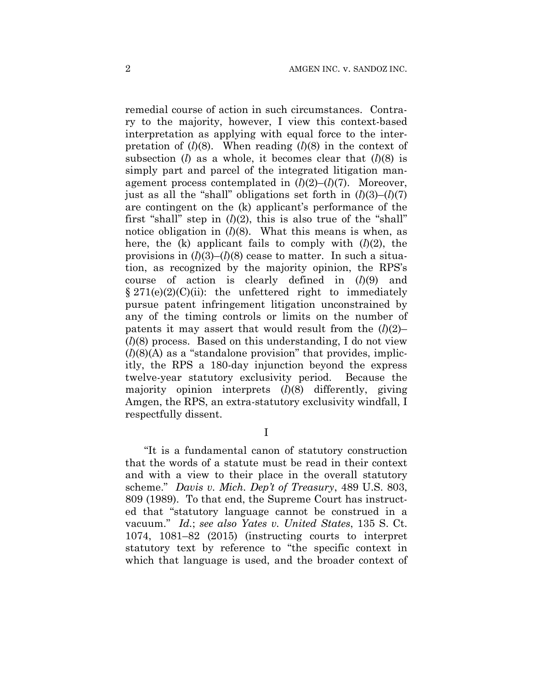remedial course of action in such circumstances. Contrary to the majority, however, I view this context-based interpretation as applying with equal force to the interpretation of  $(l)(8)$ . When reading  $(l)(8)$  in the context of subsection (*l*) as a whole, it becomes clear that (*l*)(8) is simply part and parcel of the integrated litigation management process contemplated in  $(l)(2)$ – $(l)(7)$ . Moreover, just as all the "shall" obligations set forth in  $(l)(3)$ – $(l)(7)$ are contingent on the (k) applicant's performance of the first "shall" step in  $(l)(2)$ , this is also true of the "shall" notice obligation in (*l*)(8). What this means is when, as here, the (k) applicant fails to comply with (*l*)(2), the provisions in  $(l)(3)$ – $(l)(8)$  cease to matter. In such a situation, as recognized by the majority opinion, the RPS's course of action is clearly defined in (*l*)(9) and  $§ 271(e)(2)(C)(ii):$  the unfettered right to immediately pursue patent infringement litigation unconstrained by any of the timing controls or limits on the number of patents it may assert that would result from the  $(l)(2)$ – (*l*)(8) process. Based on this understanding, I do not view  $(l)(8)(A)$  as a "standalone provision" that provides, implicitly, the RPS a 180-day injunction beyond the express twelve-year statutory exclusivity period. Because the majority opinion interprets (*l*)(8) differently, giving Amgen, the RPS, an extra-statutory exclusivity windfall, I respectfully dissent.

I

"It is a fundamental canon of statutory construction that the words of a statute must be read in their context and with a view to their place in the overall statutory scheme." *Davis v. Mich. Dep't of Treasury*, 489 U.S. 803, 809 (1989). To that end, the Supreme Court has instructed that "statutory language cannot be construed in a vacuum." *Id.*; *see also Yates v. United States*, 135 S. Ct. 1074, 1081–82 (2015) (instructing courts to interpret statutory text by reference to "the specific context in which that language is used, and the broader context of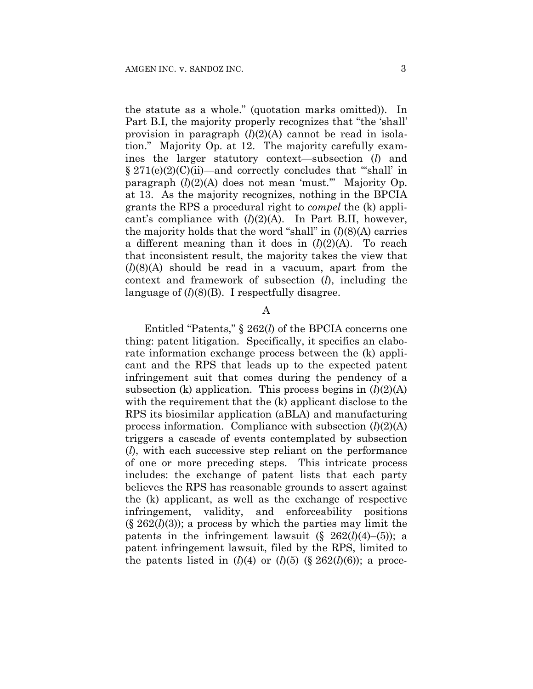the statute as a whole." (quotation marks omitted)). In Part B.I, the majority properly recognizes that "the 'shall' provision in paragraph (*l*)(2)(A) cannot be read in isolation." Majority Op. at 12. The majority carefully examines the larger statutory context—subsection (*l*) and § 271(e)(2)(C)(ii)—and correctly concludes that "'shall' in paragraph (*l*)(2)(A) does not mean 'must.'" Majority Op. at 13. As the majority recognizes, nothing in the BPCIA grants the RPS a procedural right to *compel* the (k) applicant's compliance with  $(l)(2)(A)$ . In Part B.II, however, the majority holds that the word "shall" in (*l*)(8)(A) carries a different meaning than it does in  $(l)(2)(A)$ . To reach that inconsistent result, the majority takes the view that (*l*)(8)(A) should be read in a vacuum, apart from the context and framework of subsection (*l*), including the language of  $(l)(8)(B)$ . I respectfully disagree.

#### A

Entitled "Patents," § 262(*l*) of the BPCIA concerns one thing: patent litigation. Specifically, it specifies an elaborate information exchange process between the (k) applicant and the RPS that leads up to the expected patent infringement suit that comes during the pendency of a subsection (k) application. This process begins in  $(l)(2)(A)$ with the requirement that the (k) applicant disclose to the RPS its biosimilar application (aBLA) and manufacturing process information. Compliance with subsection  $(l)(2)(A)$ triggers a cascade of events contemplated by subsection (*l*), with each successive step reliant on the performance of one or more preceding steps. This intricate process includes: the exchange of patent lists that each party believes the RPS has reasonable grounds to assert against the (k) applicant, as well as the exchange of respective infringement, validity, and enforceability positions  $(\S 262(l)(3))$ ; a process by which the parties may limit the patents in the infringement lawsuit  $(\S 262(l)(4)–(5))$ ; a patent infringement lawsuit, filed by the RPS, limited to the patents listed in  $(l)(4)$  or  $(l)(5)$  (§ 262 $(l)(6)$ ); a proce-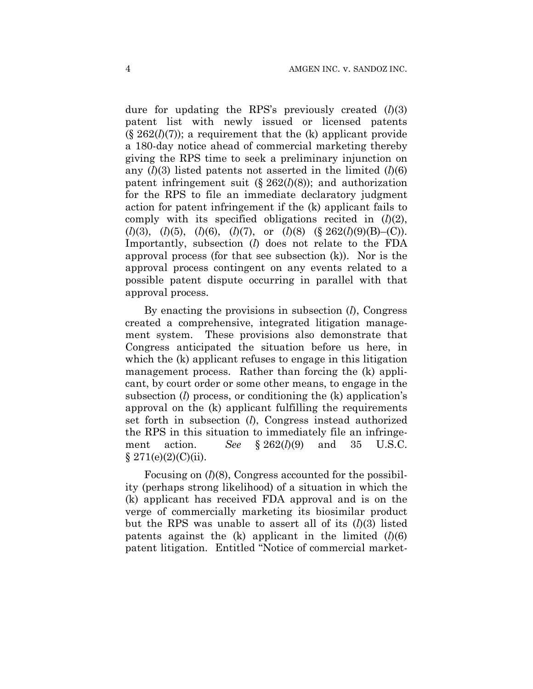dure for updating the RPS's previously created (*l*)(3) patent list with newly issued or licensed patents  $(\S 262(l)(7))$ ; a requirement that the  $(k)$  applicant provide a 180-day notice ahead of commercial marketing thereby giving the RPS time to seek a preliminary injunction on any  $(l)(3)$  listed patents not asserted in the limited  $(l)(6)$ patent infringement suit (§ 262(*l*)(8)); and authorization for the RPS to file an immediate declaratory judgment action for patent infringement if the (k) applicant fails to comply with its specified obligations recited in (*l*)(2), (*l*)(3), (*l*)(5), (*l*)(6), (*l*)(7), or (*l*)(8) (§ 262(*l*)(9)(B)–(C)). Importantly, subsection (*l*) does not relate to the FDA approval process (for that see subsection (k)). Nor is the approval process contingent on any events related to a possible patent dispute occurring in parallel with that approval process.

By enacting the provisions in subsection (*l*), Congress created a comprehensive, integrated litigation management system. These provisions also demonstrate that Congress anticipated the situation before us here, in which the (k) applicant refuses to engage in this litigation management process. Rather than forcing the (k) applicant, by court order or some other means, to engage in the subsection (*l*) process, or conditioning the (k) application's approval on the (k) applicant fulfilling the requirements set forth in subsection (*l*), Congress instead authorized the RPS in this situation to immediately file an infringement action. *See* § 262(*l*)(9) and 35 U.S.C.  $§ 271(e)(2)(C)(ii).$ 

Focusing on (*l*)(8), Congress accounted for the possibility (perhaps strong likelihood) of a situation in which the (k) applicant has received FDA approval and is on the verge of commercially marketing its biosimilar product but the RPS was unable to assert all of its (*l*)(3) listed patents against the  $(k)$  applicant in the limited  $(l)(6)$ patent litigation. Entitled "Notice of commercial market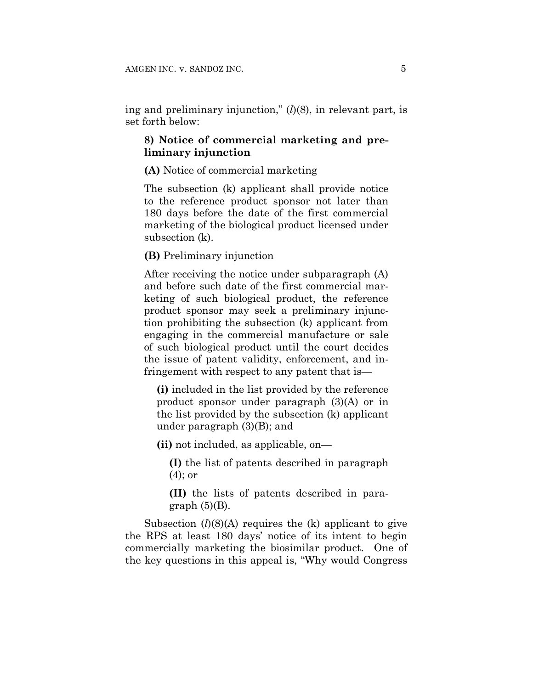ing and preliminary injunction," (*l*)(8), in relevant part, is set forth below:

## **8) Notice of commercial marketing and preliminary injunction**

#### **(A)** Notice of commercial marketing

The subsection (k) applicant shall provide notice to the reference product sponsor not later than 180 days before the date of the first commercial marketing of the biological product licensed under subsection (k).

## **(B)** Preliminary injunction

After receiving the notice under subparagraph (A) and before such date of the first commercial marketing of such biological product, the reference product sponsor may seek a preliminary injunction prohibiting the subsection (k) applicant from engaging in the commercial manufacture or sale of such biological product until the court decides the issue of patent validity, enforcement, and infringement with respect to any patent that is—

**(i)** included in the list provided by the reference product sponsor under paragraph (3)(A) or in the list provided by the subsection (k) applicant under paragraph (3)(B); and

**(ii)** not included, as applicable, on—

**(I)** the list of patents described in paragraph (4); or

**(II)** the lists of patents described in paragraph  $(5)(B)$ .

Subsection  $(l)(8)(A)$  requires the  $(k)$  applicant to give the RPS at least 180 days' notice of its intent to begin commercially marketing the biosimilar product. One of the key questions in this appeal is, "Why would Congress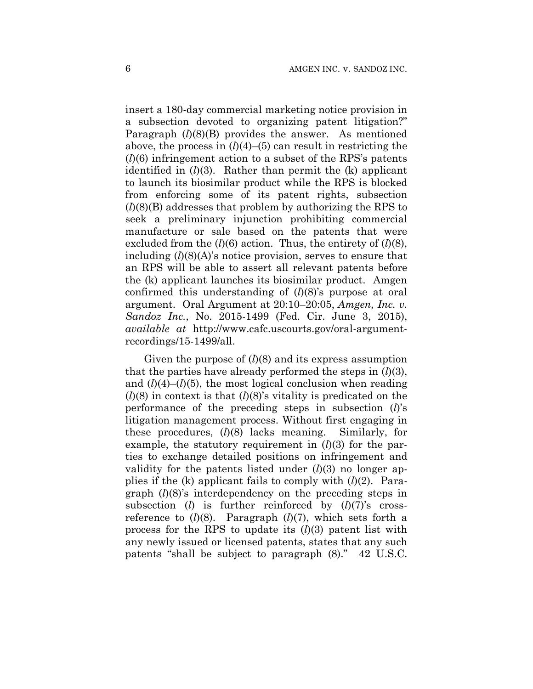insert a 180-day commercial marketing notice provision in a subsection devoted to organizing patent litigation?" Paragraph (*l*)(8)(B) provides the answer. As mentioned above, the process in  $(l)(4)$ – $(5)$  can result in restricting the (*l*)(6) infringement action to a subset of the RPS's patents identified in  $(l)(3)$ . Rather than permit the  $(k)$  applicant to launch its biosimilar product while the RPS is blocked from enforcing some of its patent rights, subsection (*l*)(8)(B) addresses that problem by authorizing the RPS to seek a preliminary injunction prohibiting commercial manufacture or sale based on the patents that were excluded from the (*l*)(6) action. Thus, the entirety of (*l*)(8), including (*l*)(8)(A)'s notice provision, serves to ensure that an RPS will be able to assert all relevant patents before the (k) applicant launches its biosimilar product. Amgen confirmed this understanding of (*l*)(8)'s purpose at oral argument. Oral Argument at 20:10–20:05, *Amgen, Inc. v. Sandoz Inc.*, No. 2015-1499 (Fed. Cir. June 3, 2015), *available at* http://www.cafc.uscourts.gov/oral-argumentrecordings/15-1499/all.

Given the purpose of  $(l)(8)$  and its express assumption that the parties have already performed the steps in  $(l)(3)$ , and  $(l)(4)$ – $(l)(5)$ , the most logical conclusion when reading  $(l)(8)$  in context is that  $(l)(8)$ 's vitality is predicated on the performance of the preceding steps in subsection (*l*)'s litigation management process. Without first engaging in these procedures, (*l*)(8) lacks meaning. Similarly, for example, the statutory requirement in (*l*)(3) for the parties to exchange detailed positions on infringement and validity for the patents listed under  $(l)(3)$  no longer applies if the (k) applicant fails to comply with (*l*)(2). Paragraph (*l*)(8)'s interdependency on the preceding steps in subsection (*l*) is further reinforced by (*l*)(7)'s crossreference to  $(l)(8)$ . Paragraph  $(l)(7)$ , which sets forth a process for the RPS to update its (*l*)(3) patent list with any newly issued or licensed patents, states that any such patents "shall be subject to paragraph (8)." 42 U.S.C.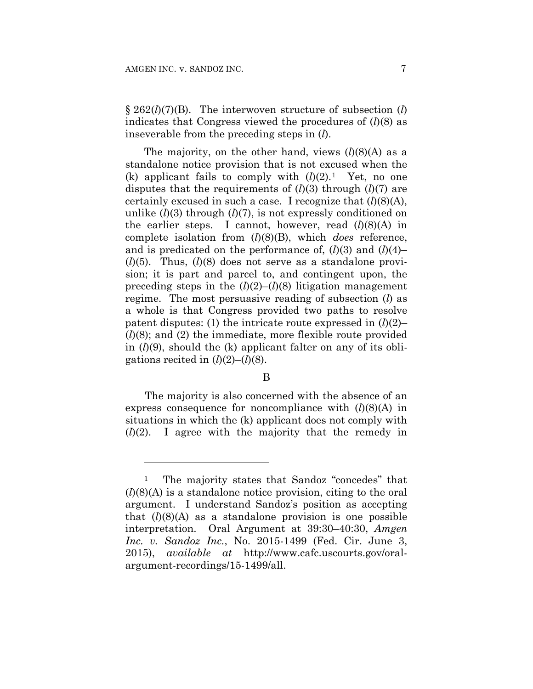1

§ 262(*l*)(7)(B). The interwoven structure of subsection (*l*) indicates that Congress viewed the procedures of (*l*)(8) as inseverable from the preceding steps in (*l*).

The majority, on the other hand, views  $(l)(8)(A)$  as a standalone notice provision that is not excused when the (k) applicant fails to comply with  $(l)(2)$ .<sup>1</sup> Yet, no one disputes that the requirements of (*l*)(3) through (*l*)(7) are certainly excused in such a case. I recognize that  $(l)(8)(A)$ , unlike (*l*)(3) through (*l*)(7), is not expressly conditioned on the earlier steps. I cannot, however, read  $(l)(8)(A)$  in complete isolation from (*l*)(8)(B), which *does* reference, and is predicated on the performance of,  $(l)(3)$  and  $(l)(4)$ – (*l*)(5). Thus, (*l*)(8) does not serve as a standalone provision; it is part and parcel to, and contingent upon, the preceding steps in the  $(l)(2)$ – $(l)(8)$  litigation management regime. The most persuasive reading of subsection (*l*) as a whole is that Congress provided two paths to resolve patent disputes: (1) the intricate route expressed in  $(l)(2)$ – (*l*)(8); and (2) the immediate, more flexible route provided in (*l*)(9), should the (k) applicant falter on any of its obligations recited in  $(l)(2)$ – $(l)(8)$ .

### B

The majority is also concerned with the absence of an express consequence for noncompliance with (*l*)(8)(A) in situations in which the (k) applicant does not comply with (*l*)(2). I agree with the majority that the remedy in

<sup>&</sup>lt;sup>1</sup> The majority states that Sandoz "concedes" that (*l*)(8)(A) is a standalone notice provision, citing to the oral argument. I understand Sandoz's position as accepting that  $(l)(8)(A)$  as a standalone provision is one possible interpretation. Oral Argument at 39:30–40:30, *Amgen Inc. v. Sandoz Inc.*, No. 2015-1499 (Fed. Cir. June 3, 2015), *available at* http://www.cafc.uscourts.gov/oralargument-recordings/15-1499/all.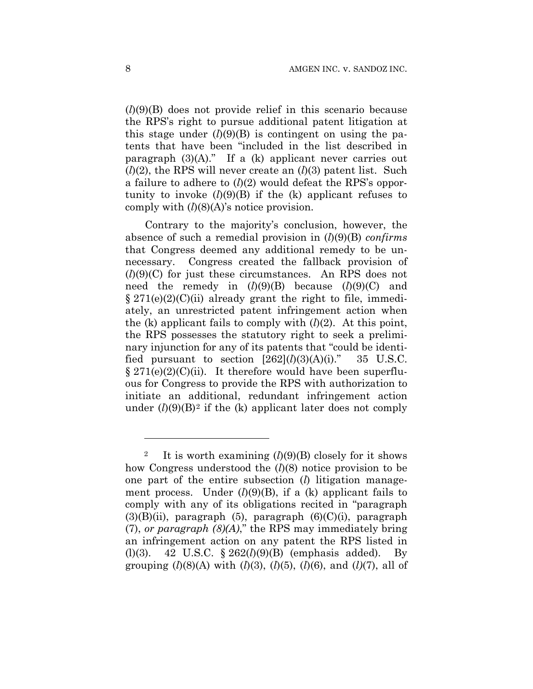(*l*)(9)(B) does not provide relief in this scenario because the RPS's right to pursue additional patent litigation at this stage under  $(l)(9)(B)$  is contingent on using the patents that have been "included in the list described in paragraph  $(3)(A)$ ." If a  $(k)$  applicant never carries out (*l*)(2), the RPS will never create an (*l*)(3) patent list. Such a failure to adhere to (*l*)(2) would defeat the RPS's opportunity to invoke  $(l)(9)(B)$  if the  $(k)$  applicant refuses to comply with  $(l)(8)(A)$ 's notice provision.

Contrary to the majority's conclusion, however, the absence of such a remedial provision in (*l*)(9)(B) *confirms* that Congress deemed any additional remedy to be unnecessary. Congress created the fallback provision of (*l*)(9)(C) for just these circumstances. An RPS does not need the remedy in (*l*)(9)(B) because (*l*)(9)(C) and  $\S 271(e)(2)(C)(ii)$  already grant the right to file, immediately, an unrestricted patent infringement action when the (k) applicant fails to comply with  $(l)(2)$ . At this point, the RPS possesses the statutory right to seek a preliminary injunction for any of its patents that "could be identified pursuant to section  $[262]$  $(l)(3)(A)(i)$ ." 35 U.S.C.  $\S 271(e)(2)(C)(ii)$ . It therefore would have been superfluous for Congress to provide the RPS with authorization to initiate an additional, redundant infringement action under  $(l)(9)(B)^2$  if the (k) applicant later does not comply

<u>.</u>

It is worth examining  $(l)(9)(B)$  closely for it shows how Congress understood the (*l*)(8) notice provision to be one part of the entire subsection (*l*) litigation management process. Under  $(l)(9)(B)$ , if a  $(k)$  applicant fails to comply with any of its obligations recited in "paragraph  $(3)(B)(ii)$ , paragraph  $(5)$ , paragraph  $(6)(C)(i)$ , paragraph (7), *or paragraph (8)(A)*," the RPS may immediately bring an infringement action on any patent the RPS listed in (l)(3). 42 U.S.C. § 262(*l*)(9)(B) (emphasis added). By grouping  $(l)(8)(A)$  with  $(l)(3)$ ,  $(l)(5)$ ,  $(l)(6)$ , and  $(l)(7)$ , all of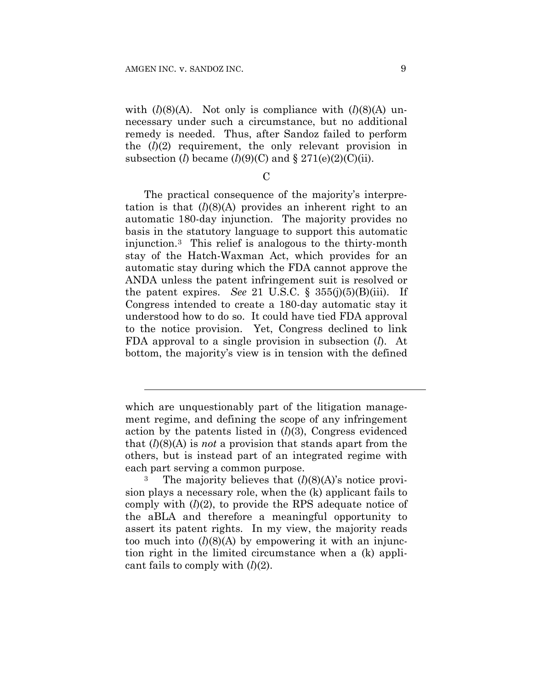l

with  $(l)(8)(A)$ . Not only is compliance with  $(l)(8)(A)$  unnecessary under such a circumstance, but no additional remedy is needed. Thus, after Sandoz failed to perform the  $(l)(2)$  requirement, the only relevant provision in subsection (*l*) became  $(l)(9)(C)$  and  $\S 271(e)(2)(C)(ii)$ .

 $\mathcal{C}$ 

The practical consequence of the majority's interpretation is that  $(l)(8)(A)$  provides an inherent right to an automatic 180-day injunction. The majority provides no basis in the statutory language to support this automatic injunction.3 This relief is analogous to the thirty-month stay of the Hatch-Waxman Act, which provides for an automatic stay during which the FDA cannot approve the ANDA unless the patent infringement suit is resolved or the patent expires. *See* 21 U.S.C.  $\S$  355(j)(5)(B)(iii). If Congress intended to create a 180-day automatic stay it understood how to do so. It could have tied FDA approval to the notice provision. Yet, Congress declined to link FDA approval to a single provision in subsection (*l*). At bottom, the majority's view is in tension with the defined

which are unquestionably part of the litigation management regime, and defining the scope of any infringement action by the patents listed in (*l*)(3), Congress evidenced that (*l*)(8)(A) is *not* a provision that stands apart from the others, but is instead part of an integrated regime with

each part serving a common purpose.<br><sup>3</sup> The majority believes that  $(l)(8)(A)$ 's notice provision plays a necessary role, when the (k) applicant fails to comply with (*l*)(2), to provide the RPS adequate notice of the aBLA and therefore a meaningful opportunity to assert its patent rights. In my view, the majority reads too much into  $(l)(8)(A)$  by empowering it with an injunction right in the limited circumstance when a (k) applicant fails to comply with (*l*)(2).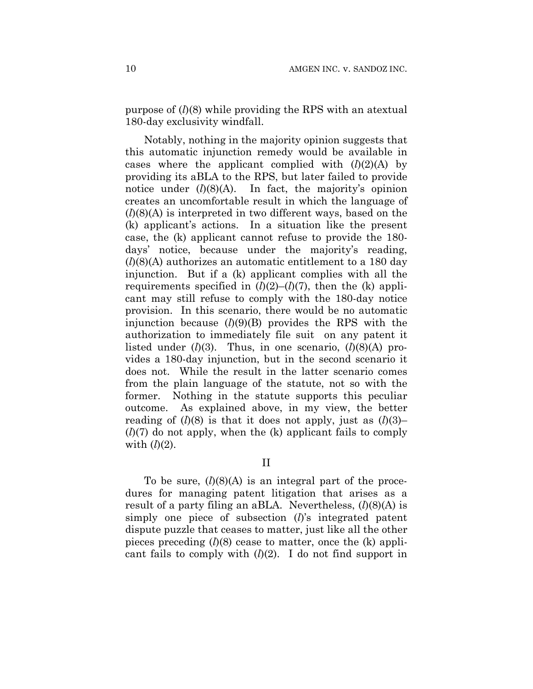purpose of (*l*)(8) while providing the RPS with an atextual 180-day exclusivity windfall.

Notably, nothing in the majority opinion suggests that this automatic injunction remedy would be available in cases where the applicant complied with  $(l)(2)(A)$  by providing its aBLA to the RPS, but later failed to provide notice under (*l*)(8)(A). In fact, the majority's opinion creates an uncomfortable result in which the language of (*l*)(8)(A) is interpreted in two different ways, based on the (k) applicant's actions. In a situation like the present case, the (k) applicant cannot refuse to provide the 180 days' notice, because under the majority's reading, (*l*)(8)(A) authorizes an automatic entitlement to a 180 day injunction. But if a (k) applicant complies with all the requirements specified in  $(l)(2)$ – $(l)(7)$ , then the (k) applicant may still refuse to comply with the 180-day notice provision. In this scenario, there would be no automatic injunction because (*l*)(9)(B) provides the RPS with the authorization to immediately file suit on any patent it listed under (*l*)(3). Thus, in one scenario, (*l*)(8)(A) provides a 180-day injunction, but in the second scenario it does not. While the result in the latter scenario comes from the plain language of the statute, not so with the former. Nothing in the statute supports this peculiar outcome. As explained above, in my view, the better reading of  $(l)(8)$  is that it does not apply, just as  $(l)(3)$ – (*l*)(7) do not apply, when the (k) applicant fails to comply with  $(l)(2)$ .

II

To be sure, (*l*)(8)(A) is an integral part of the procedures for managing patent litigation that arises as a result of a party filing an aBLA. Nevertheless, (*l*)(8)(A) is simply one piece of subsection (*l*)'s integrated patent dispute puzzle that ceases to matter, just like all the other pieces preceding (*l*)(8) cease to matter, once the (k) applicant fails to comply with (*l*)(2). I do not find support in